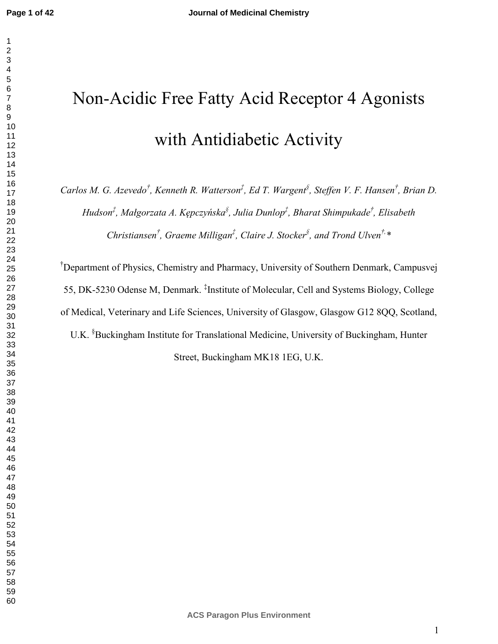# Non-Acidic Free Fatty Acid Receptor 4 Agonists with Antidiabetic Activity

*Carlos M. G. Azevedo† , Kenneth R. Watterson‡ , Ed T. Wargent§ , Steffen V. F. Hansen† , Brian D. Hudson‡ , Małgorzata A. Kępczyńska§ , Julia Dunlop‡ , Bharat Shimpukade† , Elisabeth Christiansen† , Graeme Milligan‡ , Claire J. Stocker§ , and Trond Ulven†,\** 

†Department of Physics, Chemistry and Pharmacy, University of Southern Denmark, Campusvej 55, DK-5230 Odense M, Denmark. ‡ Institute of Molecular, Cell and Systems Biology, College of Medical, Veterinary and Life Sciences, University of Glasgow, Glasgow G12 8QQ, Scotland, U.K. §Buckingham Institute for Translational Medicine, University of Buckingham, Hunter Street, Buckingham MK18 1EG, U.K.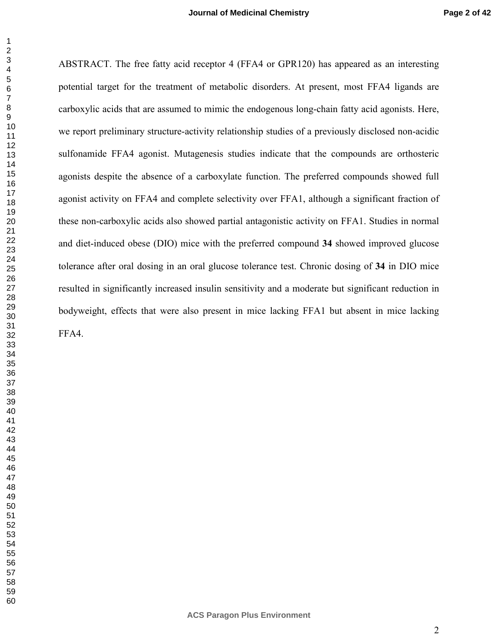ABSTRACT. The free fatty acid receptor 4 (FFA4 or GPR120) has appeared as an interesting potential target for the treatment of metabolic disorders. At present, most FFA4 ligands are carboxylic acids that are assumed to mimic the endogenous long-chain fatty acid agonists. Here, we report preliminary structure-activity relationship studies of a previously disclosed non-acidic sulfonamide FFA4 agonist. Mutagenesis studies indicate that the compounds are orthosteric agonists despite the absence of a carboxylate function. The preferred compounds showed full agonist activity on FFA4 and complete selectivity over FFA1, although a significant fraction of these non-carboxylic acids also showed partial antagonistic activity on FFA1. Studies in normal and diet-induced obese (DIO) mice with the preferred compound **34** showed improved glucose tolerance after oral dosing in an oral glucose tolerance test. Chronic dosing of **34** in DIO mice resulted in significantly increased insulin sensitivity and a moderate but significant reduction in bodyweight, effects that were also present in mice lacking FFA1 but absent in mice lacking FFA4.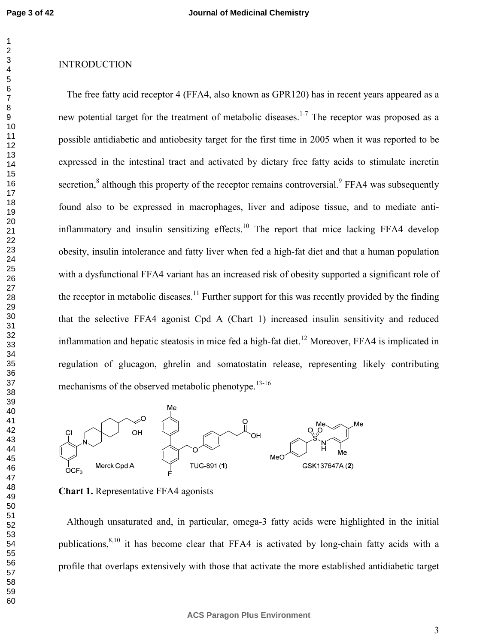## INTRODUCTION

The free fatty acid receptor 4 (FFA4, also known as GPR120) has in recent years appeared as a new potential target for the treatment of metabolic diseases.<sup>1-7</sup> The receptor was proposed as a possible antidiabetic and antiobesity target for the first time in 2005 when it was reported to be expressed in the intestinal tract and activated by dietary free fatty acids to stimulate incretin secretion, $^8$  although this property of the receptor remains controversial.<sup>9</sup> FFA4 was subsequently found also to be expressed in macrophages, liver and adipose tissue, and to mediate antiinflammatory and insulin sensitizing effects.<sup>10</sup> The report that mice lacking FFA4 develop obesity, insulin intolerance and fatty liver when fed a high-fat diet and that a human population with a dysfunctional FFA4 variant has an increased risk of obesity supported a significant role of the receptor in metabolic diseases.<sup>11</sup> Further support for this was recently provided by the finding that the selective FFA4 agonist Cpd A (Chart 1) increased insulin sensitivity and reduced inflammation and hepatic steatosis in mice fed a high-fat diet.<sup>12</sup> Moreover, FFA4 is implicated in regulation of glucagon, ghrelin and somatostatin release, representing likely contributing mechanisms of the observed metabolic phenotype.<sup>13-16</sup>



**Chart 1.** Representative FFA4 agonists

Although unsaturated and, in particular, omega-3 fatty acids were highlighted in the initial publications,<sup>8,10</sup> it has become clear that FFA4 is activated by long-chain fatty acids with a profile that overlaps extensively with those that activate the more established antidiabetic target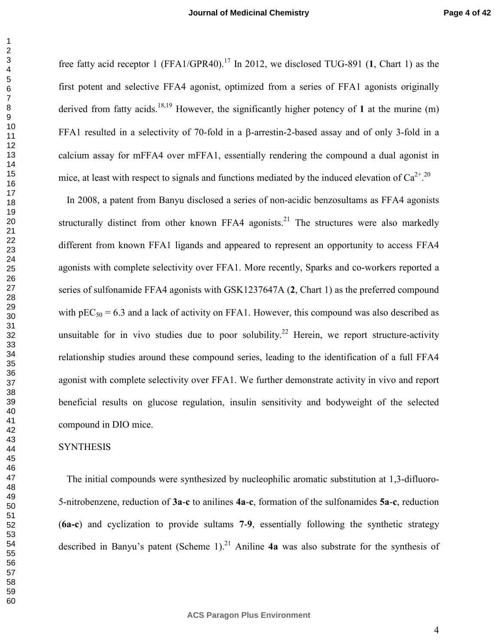free fatty acid receptor 1 (FFA1/GPR40).<sup>17</sup> In 2012, we disclosed TUG-891 (1, Chart 1) as the first potent and selective FFA4 agonist, optimized from a series of FFA1 agonists originally derived from fatty acids.<sup>18,19</sup> However, the significantly higher potency of 1 at the murine (m) FFA1 resulted in a selectivity of 70-fold in a β-arrestin-2-based assay and of only 3-fold in a calcium assay for mFFA4 over mFFA1, essentially rendering the compound a dual agonist in mice, at least with respect to signals and functions mediated by the induced elevation of  $Ca^{2+}$ .<sup>20</sup>

In 2008, a patent from Banyu disclosed a series of non-acidic benzosultams as FFA4 agonists structurally distinct from other known FFA4 agonists.<sup>21</sup> The structures were also markedly different from known FFA1 ligands and appeared to represent an opportunity to access FFA4 agonists with complete selectivity over FFA1. More recently, Sparks and co-workers reported a series of sulfonamide FFA4 agonists with GSK1237647A (**2**, Chart 1) as the preferred compound with  $pEC_{50} = 6.3$  and a lack of activity on FFA1. However, this compound was also described as unsuitable for in vivo studies due to poor solubility.<sup>22</sup> Herein, we report structure-activity relationship studies around these compound series, leading to the identification of a full FFA4 agonist with complete selectivity over FFA1. We further demonstrate activity in vivo and report beneficial results on glucose regulation, insulin sensitivity and bodyweight of the selected compound in DIO mice.

#### **SYNTHESIS**

The initial compounds were synthesized by nucleophilic aromatic substitution at 1,3-difluoro-5-nitrobenzene, reduction of **3a**-**c** to anilines **4a**-**c**, formation of the sulfonamides **5a**-**c**, reduction (**6a-c**) and cyclization to provide sultams **7**-**9**, essentially following the synthetic strategy described in Banyu's patent (Scheme 1).<sup>21</sup> Aniline  $4a$  was also substrate for the synthesis of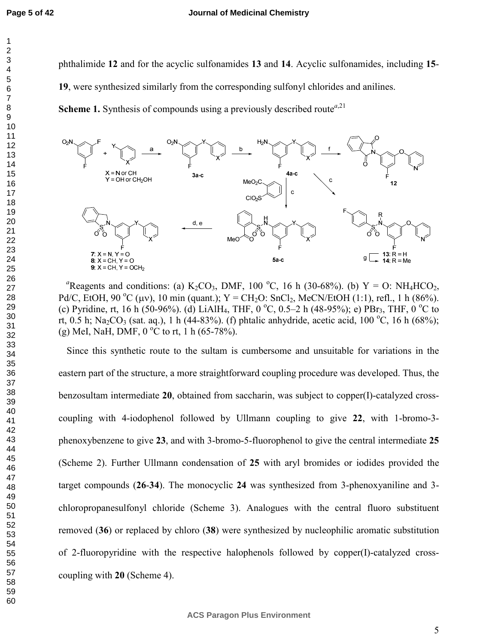phthalimide **12** and for the acyclic sulfonamides **13** and **14**. Acyclic sulfonamides, including **15**-

, were synthesized similarly from the corresponding sulfonyl chlorides and anilines.

**Scheme 1.** Synthesis of compounds using a previously described route<sup>*a*,21</sup>



<sup>a</sup>Reagents and conditions: (a) K<sub>2</sub>CO<sub>3</sub>, DMF, 100 <sup>o</sup>C, 16 h (30-68%). (b) Y = O: NH<sub>4</sub>HCO<sub>2</sub>, Pd/C, EtOH, 90 °C ( $\mu$ v), 10 min (quant.); Y = CH<sub>2</sub>O: SnCl<sub>2</sub>, MeCN/EtOH (1:1), refl., 1 h (86%). (c) Pyridine, rt, 16 h (50-96%). (d) LiAlH<sub>4</sub>, THF, 0 °C, 0.5–2 h (48-95%); e) PBr<sub>3</sub>, THF, 0 °C to rt, 0.5 h; Na<sub>2</sub>CO<sub>3</sub> (sat. aq.), 1 h (44-83%). (f) phtalic anhydride, acetic acid, 100 °C, 16 h (68%); (g) MeI, NaH, DMF,  $0^{\circ}$ C to rt, 1 h (65-78%).

Since this synthetic route to the sultam is cumbersome and unsuitable for variations in the eastern part of the structure, a more straightforward coupling procedure was developed. Thus, the benzosultam intermediate **20**, obtained from saccharin, was subject to copper(I)-catalyzed crosscoupling with 4-iodophenol followed by Ullmann coupling to give **22**, with 1-bromo-3 phenoxybenzene to give **23**, and with 3-bromo-5-fluorophenol to give the central intermediate **25** (Scheme 2). Further Ullmann condensation of **25** with aryl bromides or iodides provided the target compounds (**26**-**34**). The monocyclic **24** was synthesized from 3-phenoxyaniline and 3 chloropropanesulfonyl chloride (Scheme 3). Analogues with the central fluoro substituent removed (**36**) or replaced by chloro (**38**) were synthesized by nucleophilic aromatic substitution of 2-fluoropyridine with the respective halophenols followed by copper(I)-catalyzed crosscoupling with **20** (Scheme 4).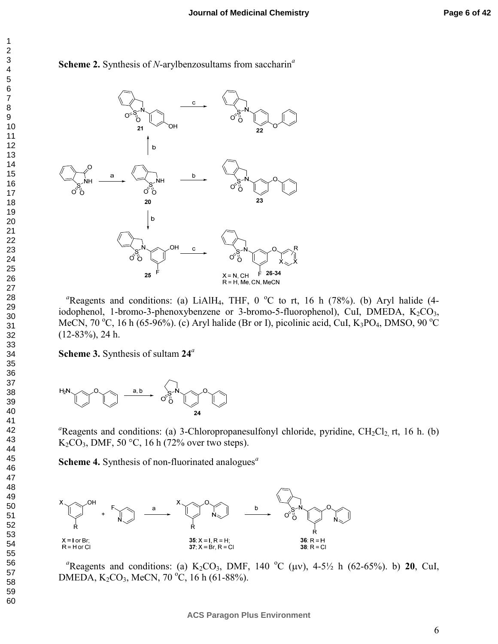



<sup>a</sup>Reagents and conditions: (a) LiAlH<sub>4</sub>, THF, 0  $^{\circ}$ C to rt, 16 h (78%). (b) Aryl halide (4iodophenol, 1-bromo-3-phenoxybenzene or 3-bromo-5-fluorophenol), CuI, DMEDA,  $K_2CO_3$ , MeCN, 70 °C, 16 h (65-96%). (c) Aryl halide (Br or I), picolinic acid, CuI, K<sub>3</sub>PO<sub>4</sub>, DMSO, 90 °C (12-83%), 24 h.

**Scheme 3.** Synthesis of sultam **24***<sup>a</sup>*



<sup>a</sup>Reagents and conditions: (a) 3-Chloropropanesulfonyl chloride, pyridine, CH<sub>2</sub>Cl<sub>2</sub>, rt, 16 h. (b) K<sub>2</sub>CO<sub>3</sub>, DMF, 50 °C, 16 h (72% over two steps).

**Scheme 4.** Synthesis of non-fluorinated analogues*<sup>a</sup>*



<sup>a</sup>Reagents and conditions: (a) K<sub>2</sub>CO<sub>3</sub>, DMF, 140 <sup>o</sup>C ( $\mu$ v), 4-5<sup>1</sup>/<sub>2</sub> h (62-65%). b) **20**, CuI, DMEDA,  $K_2CO_3$ , MeCN, 70 °C, 16 h (61-88%).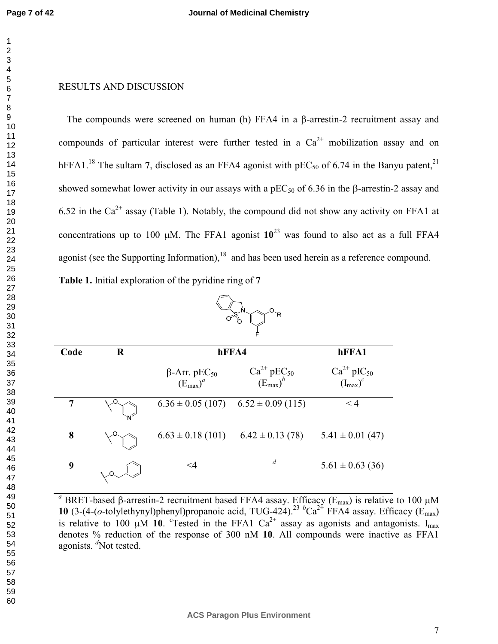## RESULTS AND DISCUSSION

The compounds were screened on human (h) FFA4 in a β-arrestin-2 recruitment assay and compounds of particular interest were further tested in a  $Ca^{2+}$  mobilization assay and on hFFA1.<sup>18</sup> The sultam 7, disclosed as an FFA4 agonist with  $pEC_{50}$  of 6.74 in the Banyu patent,<sup>21</sup> showed somewhat lower activity in our assays with a  $pEC_{50}$  of 6.36 in the β-arrestin-2 assay and 6.52 in the Ca<sup>2+</sup> assay (Table 1). Notably, the compound did not show any activity on FFA1 at concentrations up to 100  $\mu$ M. The FFA1 agonist  $10^{23}$  was found to also act as a full FFA4 agonist (see the Supporting Information), and has been used herein as a reference compound.

OSS-N OR

**Table 1.** Initial exploration of the pyridine ring of **7**

|      |         |                                                         | F                                         |                                           |
|------|---------|---------------------------------------------------------|-------------------------------------------|-------------------------------------------|
| Code | $\bf R$ | hFFA4                                                   | hFFA1                                     |                                           |
|      |         | $\beta$ -Arr. pEC <sub>50</sub><br>$(E_{\text{max}})^a$ | $Ca^{2+}pEC_{50}$<br>$(E_{\text{max}})^b$ | $Ca^{2+}pIC_{50}$<br>$(I_{\text{max}})^c$ |
| 7    |         | $6.36 \pm 0.05$ (107)                                   | $6.52 \pm 0.09$ (115)                     | $\leq 4$                                  |
| 8    |         | $6.63 \pm 0.18$ (101)                                   | $6.42 \pm 0.13(78)$                       | $5.41 \pm 0.01$ (47)                      |
| 9    |         | <4                                                      | $\overline{d}$                            | $5.61 \pm 0.63$ (36)                      |

<sup>a</sup> BRET-based β-arrestin-2 recruitment based FFA4 assay. Efficacy (E<sub>max</sub>) is relative to 100 μM **10** (3-(4-(*o*-tolylethynyl)phenyl)propanoic acid, TUG-424).<sup>23</sup> <sup>*b*</sup>Ca<sup>2+</sup> FFA4 assay. Efficacy (E<sub>max</sub>) is relative to 100  $\mu$ M 10. <sup>c</sup>Tested in the FFA1 Ca<sup>2+</sup> assay as agonists and antagonists. I<sub>max</sub> denotes % reduction of the response of 300 nM **10**. All compounds were inactive as FFA1 agonists. <sup>*d*</sup>Not tested.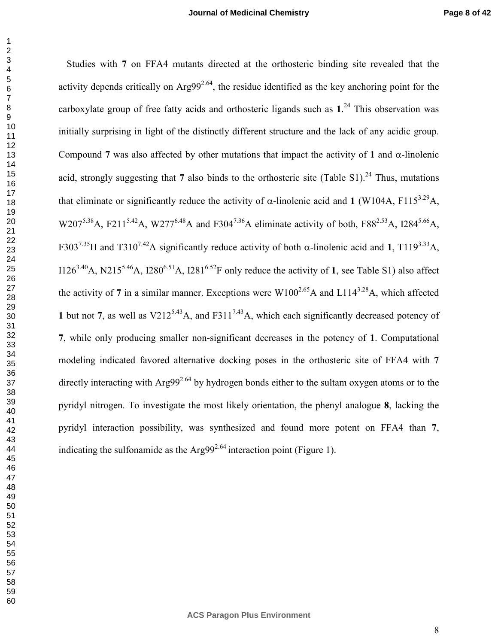Studies with **7** on FFA4 mutants directed at the orthosteric binding site revealed that the activity depends critically on  $Arg99^{2.64}$ , the residue identified as the key anchoring point for the carboxylate group of free fatty acids and orthosteric ligands such as **1**. <sup>24</sup> This observation was initially surprising in light of the distinctly different structure and the lack of any acidic group. Compound **7** was also affected by other mutations that impact the activity of **1** and α-linolenic acid, strongly suggesting that also binds to the orthosteric site (Table S1).<sup>24</sup> Thus, mutations that eliminate or significantly reduce the activity of α-linolenic acid and **1** (W104A, F115<sup>3.29</sup>A, W207<sup>5.38</sup>A, F211<sup>5.42</sup>A, W277<sup>6.48</sup>A and F304<sup>7.36</sup>A eliminate activity of both, F88<sup>2.53</sup>A, I284<sup>5.66</sup>A, F303<sup>7.35</sup>H and T310<sup>7.42</sup>A significantly reduce activity of both  $\alpha$ -linolenic acid and **1**, T119<sup>3.33</sup>A, I126<sup>3,40</sup>A, N215<sup>5,46</sup>A, I280<sup>6,51</sup>A, I281<sup>6,52</sup>F only reduce the activity of 1, see Table S1) also affect the activity of 7 in a similar manner. Exceptions were  $W100^{2.65}$ A and  $L114^{3.28}$ A, which affected **1** but not **7**, as well as  $V212^{5.43}$ A, and F311<sup>7.43</sup>A, which each significantly decreased potency of , while only producing smaller non-significant decreases in the potency of **1**. Computational modeling indicated favored alternative docking poses in the orthosteric site of FFA4 with **7** directly interacting with Arg99<sup>2.64</sup> by hydrogen bonds either to the sultam oxygen atoms or to the pyridyl nitrogen. To investigate the most likely orientation, the phenyl analogue **8**, lacking the pyridyl interaction possibility, was synthesized and found more potent on FFA4 than **7**, indicating the sulfonamide as the Arg99<sup>2.64</sup> interaction point (Figure 1).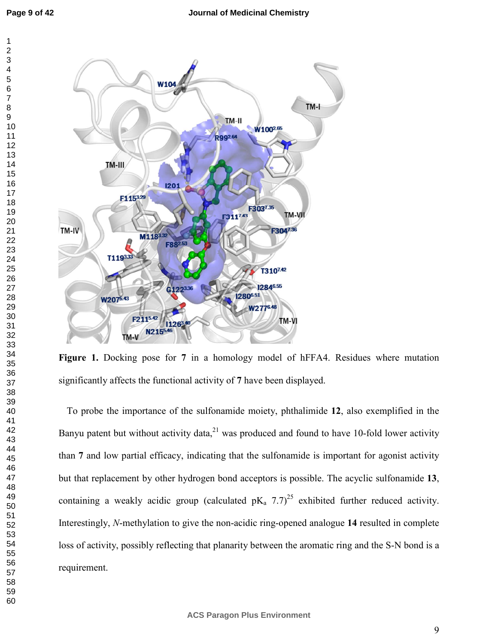

**Figure 1.** Docking pose for **7** in a homology model of hFFA4. Residues where mutation significantly affects the functional activity of **7** have been displayed.

To probe the importance of the sulfonamide moiety, phthalimide **12**, also exemplified in the Banyu patent but without activity data, $^{21}$  was produced and found to have 10-fold lower activity than **7** and low partial efficacy, indicating that the sulfonamide is important for agonist activity but that replacement by other hydrogen bond acceptors is possible. The acyclic sulfonamide **13**, containing a weakly acidic group (calculated  $pK_a$  7.7)<sup>25</sup> exhibited further reduced activity. Interestingly, *N*-methylation to give the non-acidic ring-opened analogue **14** resulted in complete loss of activity, possibly reflecting that planarity between the aromatic ring and the S-N bond is a requirement.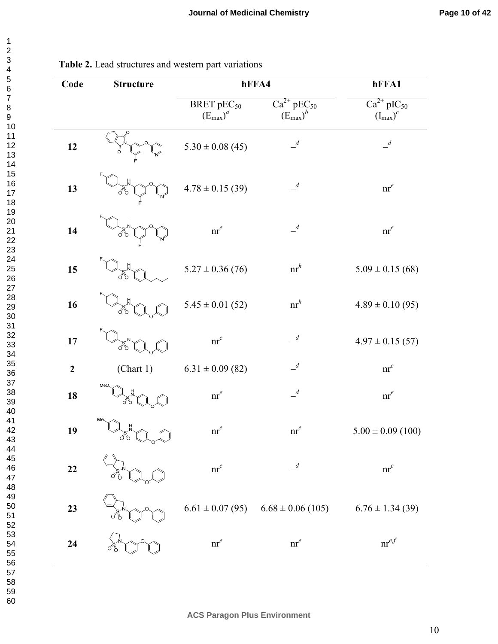| 3                                                                             |
|-------------------------------------------------------------------------------|
|                                                                               |
|                                                                               |
|                                                                               |
|                                                                               |
|                                                                               |
|                                                                               |
|                                                                               |
|                                                                               |
|                                                                               |
|                                                                               |
|                                                                               |
|                                                                               |
|                                                                               |
|                                                                               |
|                                                                               |
|                                                                               |
|                                                                               |
|                                                                               |
|                                                                               |
|                                                                               |
|                                                                               |
|                                                                               |
| ○4567891111111111222222222233333333394424567890123456780012345678901000000000 |
|                                                                               |
|                                                                               |
|                                                                               |
|                                                                               |
|                                                                               |
|                                                                               |
|                                                                               |
|                                                                               |
|                                                                               |
|                                                                               |
|                                                                               |
|                                                                               |
|                                                                               |
|                                                                               |
|                                                                               |
|                                                                               |
|                                                                               |
|                                                                               |
|                                                                               |
|                                                                               |
| 42                                                                            |
| $4\degree$                                                                    |
| 44                                                                            |
| 45                                                                            |
| 46                                                                            |
| 47                                                                            |
| 48                                                                            |
| 49                                                                            |
|                                                                               |
| 50                                                                            |
|                                                                               |
|                                                                               |
|                                                                               |
| 51<br>52<br>53<br>54                                                          |
| بر<br>55                                                                      |
| 56                                                                            |
|                                                                               |
| 57                                                                            |
| -<br>58<br>59                                                                 |
|                                                                               |

| <b>Table 2.</b> Lead structures and western part variations |  |
|-------------------------------------------------------------|--|
|-------------------------------------------------------------|--|

| Code             | <b>Structure</b> | hFFA4                                                 |                                                     | hFFA1                              |
|------------------|------------------|-------------------------------------------------------|-----------------------------------------------------|------------------------------------|
|                  |                  | <b>BRET</b> pEC <sub>50</sub><br>$(E_{\text{max}})^a$ | $Ca^{2+}$ pEC <sub>50</sub><br>$(E_{\text{max}})^b$ | $Ca^{2+}pIC_{50}$<br>$(I_{max})^c$ |
| 12               |                  | $5.30 \pm 0.08$ (45)                                  | $\mathcal{A}$                                       | $\mathcal{A}$                      |
| 13               | ०ँ०              | $4.78 \pm 0.15$ (39)                                  | $\mathcal{A}$                                       | $\operatorname{nr}^e$              |
| 14               | ďď               | $\operatorname{nr}^e$                                 | $\overline{\phantom{a}}^d$                          | $\operatorname{nr}^e$              |
| 15               | ď                | $5.27 \pm 0.36(76)$                                   | $nr^h$                                              | $5.09 \pm 0.15(68)$                |
| 16               | റ്റ              | $5.45 \pm 0.01$ (52)                                  | $nr^h$                                              | $4.89 \pm 0.10$ (95)               |
| 17               | റ്റ              | $\operatorname{nr}^e$                                 | $\mathcal{A}$                                       | $4.97 \pm 0.15$ (57)               |
| $\boldsymbol{2}$ | (Chart 1)        | $6.31 \pm 0.09$ (82)                                  | $\mathcal{A}$                                       | $\operatorname{nr}^e$              |
| 18               | MeO              | $\operatorname{nr}^e$                                 | $\mathcal{A}$                                       | $\operatorname{nr}^e$              |
| 19               | Me               | $\operatorname{nr}^e$                                 | $\operatorname{nr}^e$                               | $5.00 \pm 0.09$ (100)              |
| 22               |                  | $\operatorname{nr}^e$                                 | $\overline{a}$                                      | $nr^e$                             |
| 23               |                  |                                                       | $6.61 \pm 0.07$ (95) $6.68 \pm 0.06$ (105)          | $6.76 \pm 1.34$ (39)               |
| 24               |                  | $\operatorname{nr}^e$                                 | $nr^e$                                              | $\mathsf{nr}^{e,f}$                |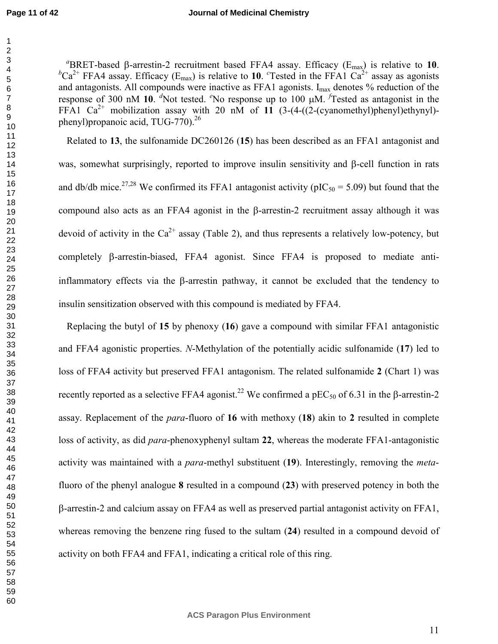#### **Journal of Medicinal Chemistry**

 $a$ BRET-based β-arrestin-2 recruitment based FFA4 assay. Efficacy ( $E_{max}$ ) is relative to 10.  ${}^b\text{Ca}^{2+}$  FFA4 assay. Efficacy (E<sub>max</sub>) is relative to 10. <sup>c</sup>Tested in the FFA1 Ca<sup>2+</sup> assay as agonists and antagonists. All compounds were inactive as FFA1 agonists.  $I_{max}$  denotes % reduction of the response of 300 nM 10. <sup>*d*</sup>Not tested. <sup>*e*</sup>No response up to 100 µM. *f* Tested as antagonist in the FFA1 Ca<sup>2+</sup> mobilization assay with 20 nM of 11  $(3-(4-((2-(cyanometryl)phenyl)ethynyl)$ phenyl)propanoic acid, TUG-770).<sup>26</sup>

Related to **13**, the sulfonamide DC260126 (**15**) has been described as an FFA1 antagonist and was, somewhat surprisingly, reported to improve insulin sensitivity and β-cell function in rats and db/db mice.<sup>27,28</sup> We confirmed its FFA1 antagonist activity ( $pIC_{50} = 5.09$ ) but found that the compound also acts as an FFA4 agonist in the β-arrestin-2 recruitment assay although it was devoid of activity in the  $Ca^{2+}$  assay (Table 2), and thus represents a relatively low-potency, but completely β-arrestin-biased, FFA4 agonist. Since FFA4 is proposed to mediate antiinflammatory effects via the β-arrestin pathway, it cannot be excluded that the tendency to insulin sensitization observed with this compound is mediated by FFA4.

Replacing the butyl of **15** by phenoxy (**16**) gave a compound with similar FFA1 antagonistic and FFA4 agonistic properties. *N*-Methylation of the potentially acidic sulfonamide (**17**) led to loss of FFA4 activity but preserved FFA1 antagonism. The related sulfonamide **2** (Chart 1) was recently reported as a selective FFA4 agonist.<sup>22</sup> We confirmed a pEC<sub>50</sub> of 6.31 in the β-arrestin-2 assay. Replacement of the *para*-fluoro of **16** with methoxy (**18**) akin to **2** resulted in complete loss of activity, as did *para*-phenoxyphenyl sultam **22**, whereas the moderate FFA1-antagonistic activity was maintained with a *para*-methyl substituent (**19**). Interestingly, removing the *meta*fluoro of the phenyl analogue **8** resulted in a compound (**23**) with preserved potency in both the β-arrestin-2 and calcium assay on FFA4 as well as preserved partial antagonist activity on FFA1, whereas removing the benzene ring fused to the sultam (**24**) resulted in a compound devoid of activity on both FFA4 and FFA1, indicating a critical role of this ring.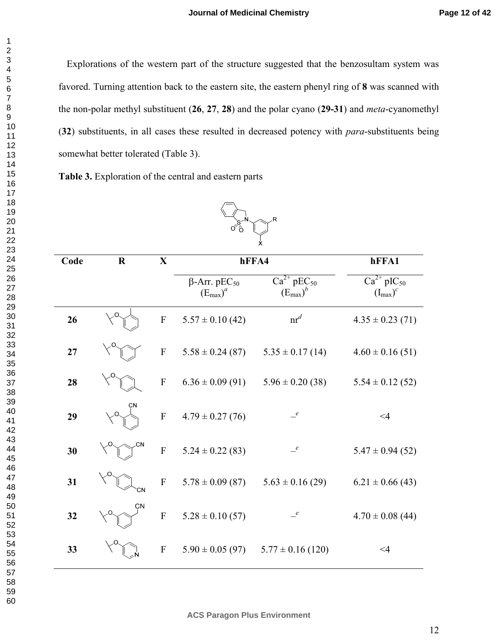Explorations of the western part of the structure suggested that the benzosultam system was favored. Turning attention back to the eastern site, the eastern phenyl ring of **8** was scanned with the non-polar methyl substituent (**26**, **27**, **28**) and the polar cyano (**29-31**) and *meta*-cyanomethyl (**32**) substituents, in all cases these resulted in decreased potency with *para*-substituents being somewhat better tolerated (Table 3).

**Table 3.** Exploration of the central and eastern parts

| X.   |         |                           |                                                         |                                                     |                                           |
|------|---------|---------------------------|---------------------------------------------------------|-----------------------------------------------------|-------------------------------------------|
| Code | $\bf R$ | $\mathbf X$               | hFFA4                                                   |                                                     | hFFA1                                     |
|      |         |                           | $\beta$ -Arr. pEC <sub>50</sub><br>$(E_{\text{max}})^a$ | $Ca^{2+}$ pEC <sub>50</sub><br>$(E_{\text{max}})^b$ | $Ca^{2+}pIC_{50}$<br>$(I_{\text{max}})^c$ |
| 26   | O       | $\boldsymbol{\mathrm{F}}$ | $5.57 \pm 0.10$ (42)                                    | $\operatorname{nr}^d$                               | $4.35 \pm 0.23(71)$                       |
| 27   |         | $\boldsymbol{\mathrm{F}}$ | $5.58 \pm 0.24$ (87)                                    | $5.35 \pm 0.17(14)$                                 | $4.60 \pm 0.16(51)$                       |
| 28   |         | $\mathbf F$               | $6.36 \pm 0.09$ (91)                                    | $5.96 \pm 0.20$ (38)                                | $5.54 \pm 0.12$ (52)                      |
| 29   |         | ${\bf F}$                 | $4.79 \pm 0.27(76)$                                     | $\mathcal{C}$                                       | $\leq$ 4                                  |
| 30   |         | $\overline{F}$            | $5.24 \pm 0.22$ (83)                                    | $\frac{e}{\sqrt{2}}$                                | $5.47 \pm 0.94$ (52)                      |
| 31   | CΝ      | $\boldsymbol{\mathrm{F}}$ | $5.78 \pm 0.09$ (87)                                    | $5.63 \pm 0.16$ (29)                                | $6.21 \pm 0.66$ (43)                      |
| 32   |         | ${\bf F}$                 | $5.28 \pm 0.10(57)$                                     | $\epsilon$                                          | $4.70 \pm 0.08$ (44)                      |
| 33   |         | ${\bf F}$                 | $5.90 \pm 0.05$ (97)                                    | $5.77 \pm 0.16$ (120)                               | $\leq 4$                                  |



**ACS Paragon Plus Environment**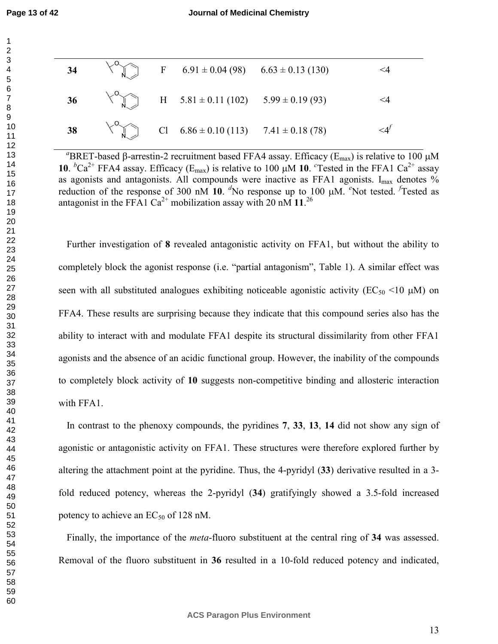**Page 13 of 42**

| 34 |  | F $6.91 \pm 0.04$ (98) $6.63 \pm 0.13$ (130)  | <4                 |
|----|--|-----------------------------------------------|--------------------|
| 36 |  | H $5.81 \pm 0.11(102)$ $5.99 \pm 0.19(93)$    | <4                 |
| 38 |  | Cl $6.86 \pm 0.10$ (113) $7.41 \pm 0.18$ (78) | $\leq$ $4^{\circ}$ |

<sup>a</sup>BRET-based β-arrestin-2 recruitment based FFA4 assay. Efficacy (E<sub>max</sub>) is relative to 100 μM **10**.  ${}^b$ Ca<sup>2+</sup> FFA4 assay. Efficacy (E<sub>max</sub>) is relative to 100  $\mu$ M **10**. <sup>c</sup>Tested in the FFA1 Ca<sup>2+</sup> assay as agonists and antagonists. All compounds were inactive as FFA1 agonists.  $I_{max}$  denotes % reduction of the response of 300 nM 10. <sup>*d*</sup>No response up to 100 µM. <sup>*e*</sup>Not tested. *<sup>f</sup>*Tested as antagonist in the FFA1 Ca<sup>2+</sup> mobilization assay with 20 nM  $11.^{26}$ 

Further investigation of **8** revealed antagonistic activity on FFA1, but without the ability to completely block the agonist response (i.e. "partial antagonism", Table 1). A similar effect was seen with all substituted analogues exhibiting noticeable agonistic activity ( $EC_{50}$  <10  $\mu$ M) on FFA4. These results are surprising because they indicate that this compound series also has the ability to interact with and modulate FFA1 despite its structural dissimilarity from other FFA1 agonists and the absence of an acidic functional group. However, the inability of the compounds to completely block activity of **10** suggests non-competitive binding and allosteric interaction with FFA1.

In contrast to the phenoxy compounds, the pyridines **7**, **33**, **13**, **14** did not show any sign of agonistic or antagonistic activity on FFA1. These structures were therefore explored further by altering the attachment point at the pyridine. Thus, the 4-pyridyl (**33**) derivative resulted in a 3 fold reduced potency, whereas the 2-pyridyl (**34**) gratifyingly showed a 3.5-fold increased potency to achieve an  $EC_{50}$  of 128 nM.

Finally, the importance of the *meta*-fluoro substituent at the central ring of **34** was assessed. Removal of the fluoro substituent in **36** resulted in a 10-fold reduced potency and indicated,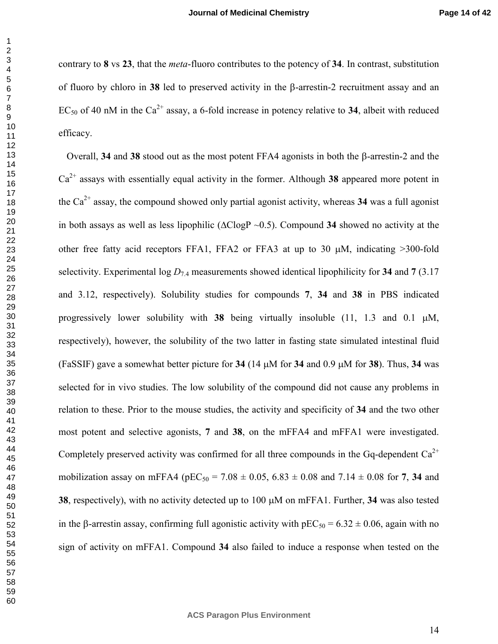contrary to **8** vs **23**, that the *meta*-fluoro contributes to the potency of **34**. In contrast, substitution of fluoro by chloro in **38** led to preserved activity in the β-arrestin-2 recruitment assay and an EC<sub>50</sub> of 40 nM in the Ca<sup>2+</sup> assay, a 6-fold increase in potency relative to 34, albeit with reduced efficacy.

Overall, **34** and **38** stood out as the most potent FFA4 agonists in both the β-arrestin-2 and the  $Ca<sup>2+</sup>$  assays with essentially equal activity in the former. Although 38 appeared more potent in the  $Ca^{2+}$  assay, the compound showed only partial agonist activity, whereas 34 was a full agonist in both assays as well as less lipophilic (∆ClogP ~0.5). Compound **34** showed no activity at the other free fatty acid receptors FFA1, FFA2 or FFA3 at up to 30 µM, indicating >300-fold selectivity. Experimental  $\log D_{7.4}$  measurements showed identical lipophilicity for 34 and 7 (3.17) and 3.12, respectively). Solubility studies for compounds **7**, **34** and **38** in PBS indicated progressively lower solubility with **38** being virtually insoluble  $(11, 1.3 \text{ and } 0.1 \mu\text{M})$ , respectively), however, the solubility of the two latter in fasting state simulated intestinal fluid (FaSSIF) gave a somewhat better picture for **34** (14 µM for **34** and 0.9 µM for **38**). Thus, **34** was selected for in vivo studies. The low solubility of the compound did not cause any problems in relation to these. Prior to the mouse studies, the activity and specificity of **34** and the two other most potent and selective agonists, **7** and **38**, on the mFFA4 and mFFA1 were investigated. Completely preserved activity was confirmed for all three compounds in the Gq-dependent  $Ca^{2+}$ mobilization assay on mFFA4 ( $pEC_{50} = 7.08 \pm 0.05$ ,  $6.83 \pm 0.08$  and  $7.14 \pm 0.08$  for 7, 34 and , respectively), with no activity detected up to 100 µM on mFFA1. Further, **34** was also tested in the β-arrestin assay, confirming full agonistic activity with  $pEC_{50} = 6.32 \pm 0.06$ , again with no sign of activity on mFFA1. Compound **34** also failed to induce a response when tested on the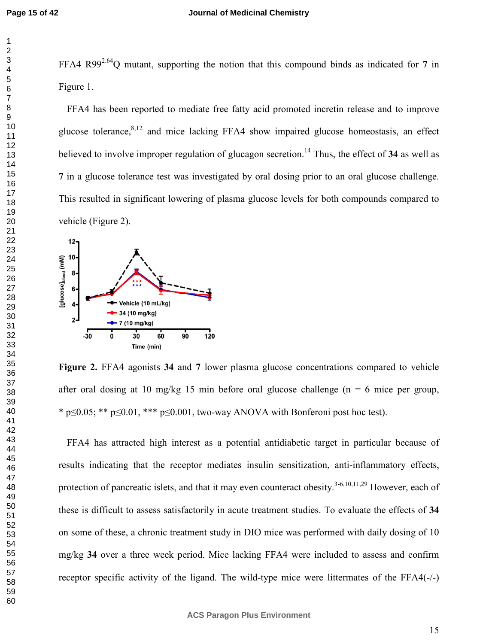FFA4 R992.64Q mutant, supporting the notion that this compound binds as indicated for **7** in Figure 1.

FFA4 has been reported to mediate free fatty acid promoted incretin release and to improve glucose tolerance,  $8,12$  and mice lacking FFA4 show impaired glucose homeostasis, an effect believed to involve improper regulation of glucagon secretion.<sup>14</sup> Thus, the effect of **34** as well as in a glucose tolerance test was investigated by oral dosing prior to an oral glucose challenge. This resulted in significant lowering of plasma glucose levels for both compounds compared to vehicle (Figure 2).



**Figure 2.** FFA4 agonists **34** and **7** lower plasma glucose concentrations compared to vehicle after oral dosing at 10 mg/kg 15 min before oral glucose challenge ( $n = 6$  mice per group, \* p $\leq 0.05$ ; \*\* p $\leq 0.01$ , \*\*\* p $\leq 0.001$ , two-way ANOVA with Bonferoni post hoc test).

FFA4 has attracted high interest as a potential antidiabetic target in particular because of results indicating that the receptor mediates insulin sensitization, anti-inflammatory effects, protection of pancreatic islets, and that it may even counteract obesity.<sup>3-6,10,11,29</sup> However, each of these is difficult to assess satisfactorily in acute treatment studies. To evaluate the effects of **34** on some of these, a chronic treatment study in DIO mice was performed with daily dosing of 10 mg/kg **34** over a three week period. Mice lacking FFA4 were included to assess and confirm receptor specific activity of the ligand. The wild-type mice were littermates of the FFA4(-/-)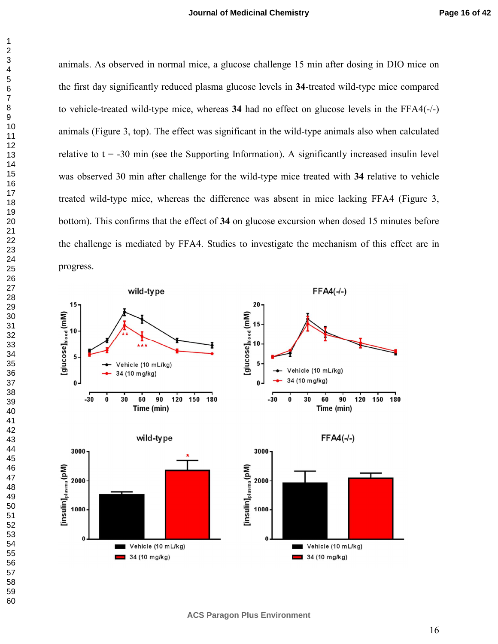animals. As observed in normal mice, a glucose challenge 15 min after dosing in DIO mice on the first day significantly reduced plasma glucose levels in **34**-treated wild-type mice compared to vehicle-treated wild-type mice, whereas **34** had no effect on glucose levels in the FFA4(-/-) animals (Figure 3, top). The effect was significant in the wild-type animals also when calculated relative to  $t = -30$  min (see the Supporting Information). A significantly increased insulin level was observed 30 min after challenge for the wild-type mice treated with **34** relative to vehicle treated wild-type mice, whereas the difference was absent in mice lacking FFA4 (Figure 3, bottom). This confirms that the effect of **34** on glucose excursion when dosed 15 minutes before the challenge is mediated by FFA4. Studies to investigate the mechanism of this effect are in progress.

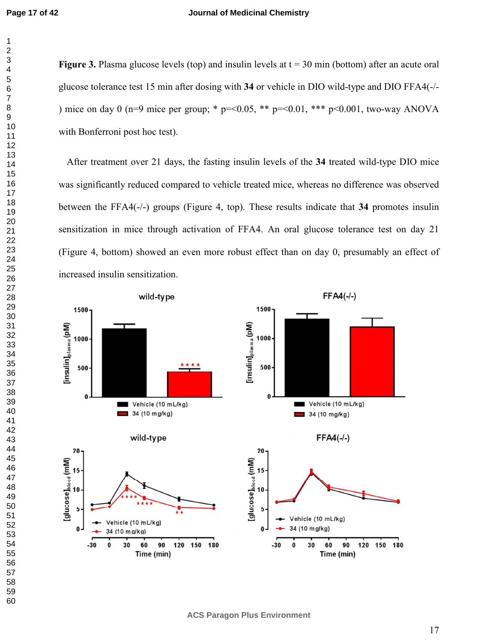#### **Journal of Medicinal Chemistry**

**Figure 3.** Plasma glucose levels (top) and insulin levels at  $t = 30$  min (bottom) after an acute oral glucose tolerance test 15 min after dosing with **34** or vehicle in DIO wild-type and DIO FFA4(-/- ) mice on day 0 (n=9 mice per group; \*  $p = 0.05$ , \*\*  $p = 0.01$ , \*\*\*  $p \le 0.001$ , two-way ANOVA with Bonferroni post hoc test).

After treatment over 21 days, the fasting insulin levels of the **34** treated wild-type DIO mice was significantly reduced compared to vehicle treated mice, whereas no difference was observed between the FFA4(-/-) groups (Figure 4, top). These results indicate that **34** promotes insulin sensitization in mice through activation of FFA4. An oral glucose tolerance test on day 21 (Figure 4, bottom) showed an even more robust effect than on day 0, presumably an effect of increased insulin sensitization.

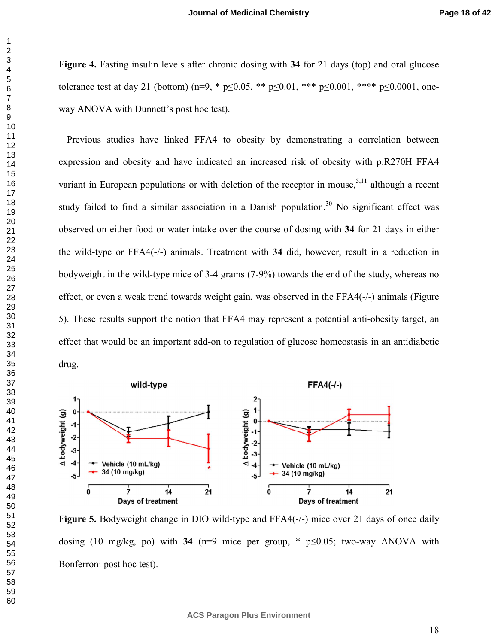**Figure 4.** Fasting insulin levels after chronic dosing with **34** for 21 days (top) and oral glucose tolerance test at day 21 (bottom) (n=9,  $*$  p<0.05,  $*$  p <0.01,  $*$  + p <0.001,  $*$  + p <0.0001, oneway ANOVA with Dunnett's post hoc test).

Previous studies have linked FFA4 to obesity by demonstrating a correlation between expression and obesity and have indicated an increased risk of obesity with p.R270H FFA4 variant in European populations or with deletion of the receptor in mouse,  $5,11$  although a recent study failed to find a similar association in a Danish population.<sup>30</sup> No significant effect was observed on either food or water intake over the course of dosing with **34** for 21 days in either the wild-type or FFA4(-/-) animals. Treatment with **34** did, however, result in a reduction in bodyweight in the wild-type mice of 3-4 grams (7-9%) towards the end of the study, whereas no effect, or even a weak trend towards weight gain, was observed in the FFA4(-/-) animals (Figure 5). These results support the notion that FFA4 may represent a potential anti-obesity target, an effect that would be an important add-on to regulation of glucose homeostasis in an antidiabetic drug.



**Figure 5.** Bodyweight change in DIO wild-type and FFA4(-/-) mice over 21 days of once daily dosing (10 mg/kg, po) with **34** (n=9 mice per group, \* p≤0.05; two-way ANOVA with Bonferroni post hoc test).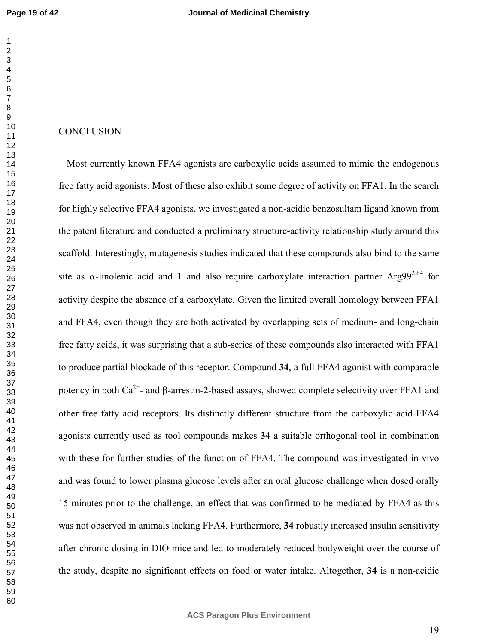## **CONCLUSION**

Most currently known FFA4 agonists are carboxylic acids assumed to mimic the endogenous free fatty acid agonists. Most of these also exhibit some degree of activity on FFA1. In the search for highly selective FFA4 agonists, we investigated a non-acidic benzosultam ligand known from the patent literature and conducted a preliminary structure-activity relationship study around this scaffold. Interestingly, mutagenesis studies indicated that these compounds also bind to the same site as  $\alpha$ -linolenic acid and 1 and also require carboxylate interaction partner Arg99<sup>2.64</sup> for activity despite the absence of a carboxylate. Given the limited overall homology between FFA1 and FFA4, even though they are both activated by overlapping sets of medium- and long-chain free fatty acids, it was surprising that a sub-series of these compounds also interacted with FFA1 to produce partial blockade of this receptor. Compound **34**, a full FFA4 agonist with comparable potency in both  $Ca^{2+}$ - and β-arrestin-2-based assays, showed complete selectivity over FFA1 and other free fatty acid receptors. Its distinctly different structure from the carboxylic acid FFA4 agonists currently used as tool compounds makes **34** a suitable orthogonal tool in combination with these for further studies of the function of FFA4. The compound was investigated in vivo and was found to lower plasma glucose levels after an oral glucose challenge when dosed orally 15 minutes prior to the challenge, an effect that was confirmed to be mediated by FFA4 as this was not observed in animals lacking FFA4. Furthermore, **34** robustly increased insulin sensitivity after chronic dosing in DIO mice and led to moderately reduced bodyweight over the course of the study, despite no significant effects on food or water intake. Altogether, **34** is a non-acidic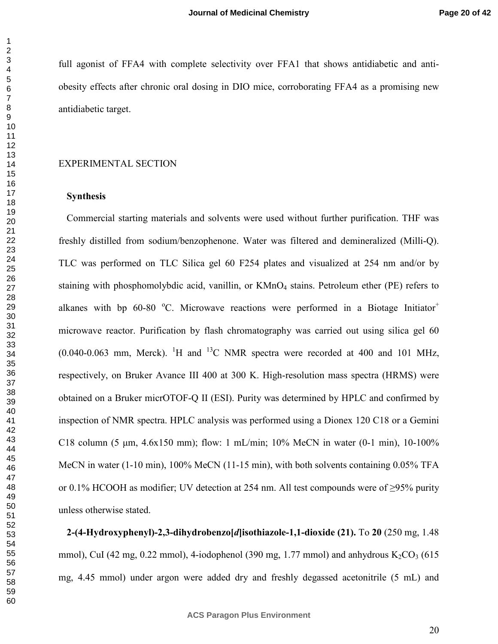full agonist of FFA4 with complete selectivity over FFA1 that shows antidiabetic and antiobesity effects after chronic oral dosing in DIO mice, corroborating FFA4 as a promising new antidiabetic target.

#### EXPERIMENTAL SECTION

#### **Synthesis**

Commercial starting materials and solvents were used without further purification. THF was freshly distilled from sodium/benzophenone. Water was filtered and demineralized (Milli-Q). TLC was performed on TLC Silica gel 60 F254 plates and visualized at 254 nm and/or by staining with phosphomolybdic acid, vanillin, or  $KMnO<sub>4</sub>$  stains. Petroleum ether (PE) refers to alkanes with bp  $60-80$  °C. Microwave reactions were performed in a Biotage Initiator<sup>+</sup> microwave reactor. Purification by flash chromatography was carried out using silica gel 60  $(0.040-0.063$  mm, Merck). <sup>1</sup>H and <sup>13</sup>C NMR spectra were recorded at 400 and 101 MHz, respectively, on Bruker Avance III 400 at 300 K. High-resolution mass spectra (HRMS) were obtained on a Bruker micrOTOF-Q II (ESI). Purity was determined by HPLC and confirmed by inspection of NMR spectra. HPLC analysis was performed using a Dionex 120 C18 or a Gemini C18 column (5  $\mu$ m, 4.6x150 mm); flow: 1 mL/min; 10% MeCN in water (0-1 min), 10-100% MeCN in water (1-10 min), 100% MeCN (11-15 min), with both solvents containing 0.05% TFA or 0.1% HCOOH as modifier; UV detection at 254 nm. All test compounds were of  $\geq$ 95% purity unless otherwise stated.

**2-(4-Hydroxyphenyl)-2,3-dihydrobenzo[***d***]isothiazole-1,1-dioxide (21).** To **20** (250 mg, 1.48 mmol), CuI (42 mg, 0.22 mmol), 4-iodophenol (390 mg, 1.77 mmol) and anhydrous  $K_2CO_3$  (615 mg, 4.45 mmol) under argon were added dry and freshly degassed acetonitrile (5 mL) and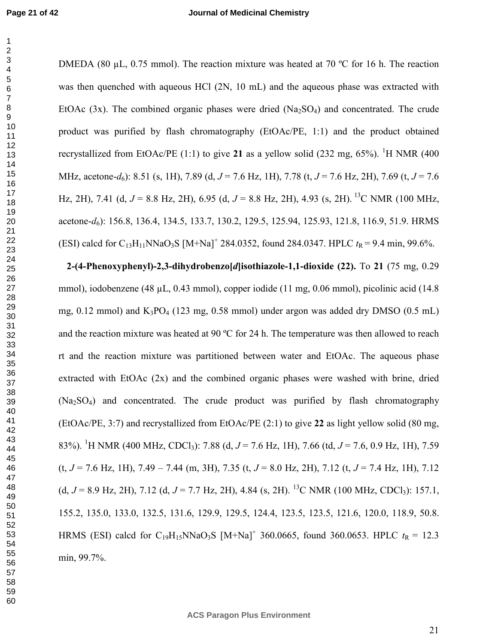DMEDA (80 µL, 0.75 mmol). The reaction mixture was heated at 70 °C for 16 h. The reaction was then quenched with aqueous HCl  $(2N, 10 \text{ mL})$  and the aqueous phase was extracted with EtOAc  $(3x)$ . The combined organic phases were dried  $(Na<sub>2</sub>SO<sub>4</sub>)$  and concentrated. The crude product was purified by flash chromatography (EtOAc/PE, 1:1) and the product obtained recrystallized from EtOAc/PE (1:1) to give 21 as a yellow solid (232 mg,  $65\%$ ). <sup>1</sup>H NMR (400 MHz, acetone-*d*6): 8.51 (s, 1H), 7.89 (d, *J* = 7.6 Hz, 1H), 7.78 (t, *J* = 7.6 Hz, 2H), 7.69 (t, *J* = 7.6 Hz, 2H), 7.41 (d,  $J = 8.8$  Hz, 2H), 6.95 (d,  $J = 8.8$  Hz, 2H), 4.93 (s, 2H).<sup>13</sup>C NMR (100 MHz, acetone-*d*6): 156.8, 136.4, 134.5, 133.7, 130.2, 129.5, 125.94, 125.93, 121.8, 116.9, 51.9. HRMS (ESI) calcd for C<sub>13</sub>H<sub>11</sub>NNaO<sub>3</sub>S [M+Na]<sup>+</sup> 284.0352, found 284.0347. HPLC  $t_R$  = 9.4 min, 99.6%.

**2-(4-Phenoxyphenyl)-2,3-dihydrobenzo[***d***]isothiazole-1,1-dioxide (22).** To **21** (75 mg, 0.29 mmol), iodobenzene (48 µL, 0.43 mmol), copper iodide (11 mg, 0.06 mmol), picolinic acid (14.8 mg, 0.12 mmol) and  $K_3PO_4$  (123 mg, 0.58 mmol) under argon was added dry DMSO (0.5 mL) and the reaction mixture was heated at 90 ºC for 24 h. The temperature was then allowed to reach rt and the reaction mixture was partitioned between water and EtOAc. The aqueous phase extracted with EtOAc (2x) and the combined organic phases were washed with brine, dried (Na2SO4) and concentrated. The crude product was purified by flash chromatography (EtOAc/PE, 3:7) and recrystallized from EtOAc/PE (2:1) to give **22** as light yellow solid (80 mg, 83%). <sup>1</sup>H NMR (400 MHz, CDCl3): 7.88 (d, *J* = 7.6 Hz, 1H), 7.66 (td, *J* = 7.6, 0.9 Hz, 1H), 7.59 (t, *J* = 7.6 Hz, 1H), 7.49 – 7.44 (m, 3H), 7.35 (t, *J* = 8.0 Hz, 2H), 7.12 (t, *J* = 7.4 Hz, 1H), 7.12 (d,  $J = 8.9$  Hz, 2H), 7.12 (d,  $J = 7.7$  Hz, 2H), 4.84 (s, 2H). <sup>13</sup>C NMR (100 MHz, CDCl<sub>3</sub>): 157.1, 155.2, 135.0, 133.0, 132.5, 131.6, 129.9, 129.5, 124.4, 123.5, 123.5, 121.6, 120.0, 118.9, 50.8. HRMS (ESI) calcd for C<sub>19</sub>H<sub>15</sub>NNaO<sub>3</sub>S [M+Na]<sup>+</sup> 360.0665, found 360.0653. HPLC  $t_R = 12.3$ min, 99.7%.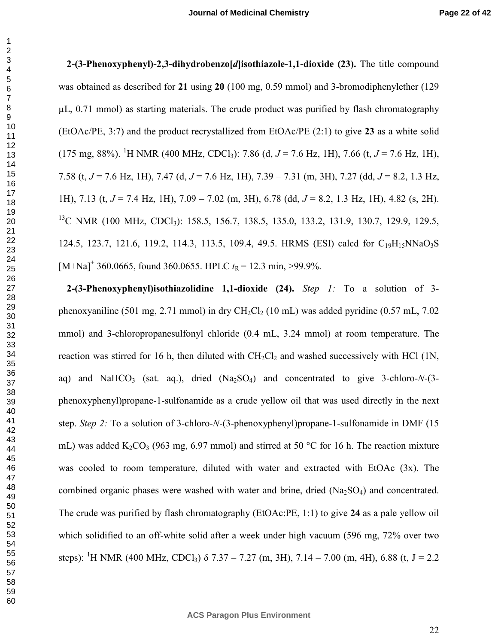**2-(3-Phenoxyphenyl)-2,3-dihydrobenzo[***d***]isothiazole-1,1-dioxide (23).** The title compound was obtained as described for **21** using **20** (100 mg, 0.59 mmol) and 3-bromodiphenylether (129  $\mu$ ,  $0.71$  mmol) as starting materials. The crude product was purified by flash chromatography (EtOAc/PE, 3:7) and the product recrystallized from EtOAc/PE (2:1) to give **23** as a white solid  $(175 \text{ mg}, 88\%)$ . <sup>1</sup>H NMR (400 MHz, CDCl<sub>3</sub>): 7.86 (d, *J* = 7.6 Hz, 1H), 7.66 (t, *J* = 7.6 Hz, 1H), 7.58 (t, *J* = 7.6 Hz, 1H), 7.47 (d, *J* = 7.6 Hz, 1H), 7.39 – 7.31 (m, 3H), 7.27 (dd, *J* = 8.2, 1.3 Hz, 1H), 7.13 (t, *J* = 7.4 Hz, 1H), 7.09 – 7.02 (m, 3H), 6.78 (dd, *J* = 8.2, 1.3 Hz, 1H), 4.82 (s, 2H). <sup>13</sup>C NMR (100 MHz, CDCl<sub>3</sub>): 158.5, 156.7, 138.5, 135.0, 133.2, 131.9, 130.7, 129.9, 129.5, 124.5, 123.7, 121.6, 119.2, 114.3, 113.5, 109.4, 49.5. HRMS (ESI) calcd for  $C_{19}H_{15}NNaO_3S$ [M+Na]<sup>+</sup> 360.0665, found 360.0655. HPLC  $t_R$  = 12.3 min, >99.9%.

**2-(3-Phenoxyphenyl)isothiazolidine 1,1-dioxide (24).** *Step 1:* To a solution of 3 phenoxyaniline (501 mg, 2.71 mmol) in dry CH<sub>2</sub>Cl<sub>2</sub> (10 mL) was added pyridine (0.57 mL, 7.02 mmol) and 3-chloropropanesulfonyl chloride (0.4 mL, 3.24 mmol) at room temperature. The reaction was stirred for 16 h, then diluted with  $CH_2Cl_2$  and washed successively with HCl (1N, aq) and NaHCO<sub>3</sub> (sat. aq.), dried  $(Na_2SO_4)$  and concentrated to give 3-chloro-*N*-(3phenoxyphenyl)propane-1-sulfonamide as a crude yellow oil that was used directly in the next step. *Step 2:* To a solution of 3-chloro-*N*-(3-phenoxyphenyl)propane-1-sulfonamide in DMF (15 mL) was added  $K_2CO_3$  (963 mg, 6.97 mmol) and stirred at 50 °C for 16 h. The reaction mixture was cooled to room temperature, diluted with water and extracted with EtOAc (3x). The combined organic phases were washed with water and brine, dried  $(Na_2SO_4)$  and concentrated. The crude was purified by flash chromatography (EtOAc:PE, 1:1) to give **24** as a pale yellow oil which solidified to an off-white solid after a week under high vacuum (596 mg, 72% over two steps): <sup>1</sup>H NMR (400 MHz, CDCl<sub>3</sub>)  $\delta$  7.37 – 7.27 (m, 3H), 7.14 – 7.00 (m, 4H), 6.88 (t, J = 2.2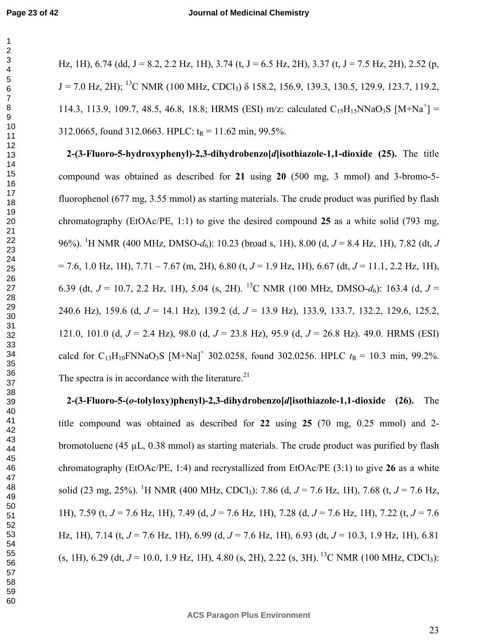Hz, 1H), 6.74 (dd, J = 8.2, 2.2 Hz, 1H), 3.74 (t, J = 6.5 Hz, 2H), 3.37 (t, J = 7.5 Hz, 2H), 2.52 (p,  $J = 7.0$  Hz, 2H); <sup>13</sup>C NMR (100 MHz, CDCl<sub>3</sub>)  $\delta$  158.2, 156.9, 139.3, 130.5, 129.9, 123.7, 119.2, 114.3, 113.9, 109.7, 48.5, 46.8, 18.8; HRMS (ESI) m/z: calculated  $C_{15}H_{15}NNaO_3S$  [M+Na<sup>+</sup>] = 312.0665, found 312.0663. HPLC:  $t_R = 11.62$  min, 99.5%.

**2-(3-Fluoro-5-hydroxyphenyl)-2,3-dihydrobenzo[***d***]isothiazole-1,1-dioxide (25).** The title compound was obtained as described for **21** using **20** (500 mg, 3 mmol) and 3-bromo-5 fluorophenol (677 mg, 3.55 mmol) as starting materials. The crude product was purified by flash chromatography (EtOAc/PE, 1:1) to give the desired compound **25** as a white solid (793 mg, 96%). <sup>1</sup>H NMR (400 MHz, DMSO-*d*6): 10.23 (broad s, 1H), 8.00 (d, *J* = 8.4 Hz, 1H), 7.82 (dt, *J* = 7.6, 1.0 Hz, 1H), 7.71 – 7.67 (m, 2H), 6.80 (t, *J* = 1.9 Hz, 1H), 6.67 (dt, *J* = 11.1, 2.2 Hz, 1H), 6.39 (dt,  $J = 10.7$ , 2.2 Hz, 1H), 5.04 (s, 2H). <sup>13</sup>C NMR (100 MHz, DMSO-d<sub>6</sub>): 163.4 (d,  $J =$ 240.6 Hz), 159.6 (d, *J* = 14.1 Hz), 139.2 (d, *J* = 13.9 Hz), 133.9, 133.7, 132.2, 129.6, 125.2, 121.0, 101.0 (d, *J* = 2.4 Hz), 98.0 (d, *J* = 23.8 Hz), 95.9 (d, *J* = 26.8 Hz). 49.0. HRMS (ESI) calcd for C<sub>13</sub>H<sub>10</sub>FNNaO<sub>3</sub>S [M+Na]<sup>+</sup> 302.0258, found 302.0256. HPLC  $t_R = 10.3$  min, 99.2%. The spectra is in accordance with the literature.<sup>21</sup>

**2-(3-Fluoro-5-(***o***-tolyloxy)phenyl)-2,3-dihydrobenzo[***d***]isothiazole-1,1-dioxide (26).** The title compound was obtained as described for **22** using **25** (70 mg, 0.25 mmol) and 2 bromotoluene (45  $\mu$ L, 0.38 mmol) as starting materials. The crude product was purified by flash chromatography (EtOAc/PE, 1:4) and recrystallized from EtOAc/PE (3:1) to give **26** as a white solid (23 mg, 25%). <sup>1</sup>H NMR (400 MHz, CDCl<sub>3</sub>): 7.86 (d,  $J = 7.6$  Hz, 1H), 7.68 (t,  $J = 7.6$  Hz, 1H), 7.59 (t, *J* = 7.6 Hz, 1H), 7.49 (d, *J* = 7.6 Hz, 1H), 7.28 (d, *J* = 7.6 Hz, 1H), 7.22 (t, *J* = 7.6 Hz, 1H), 7.14 (t, *J* = 7.6 Hz, 1H), 6.99 (d, *J* = 7.6 Hz, 1H), 6.93 (dt, *J* = 10.3, 1.9 Hz, 1H), 6.81  $(s, 1H)$ , 6.29 (dt,  $J = 10.0$ , 1.9 Hz, 1H), 4.80 (s, 2H), 2.22 (s, 3H).<sup>13</sup>C NMR (100 MHz, CDCl<sub>3</sub>):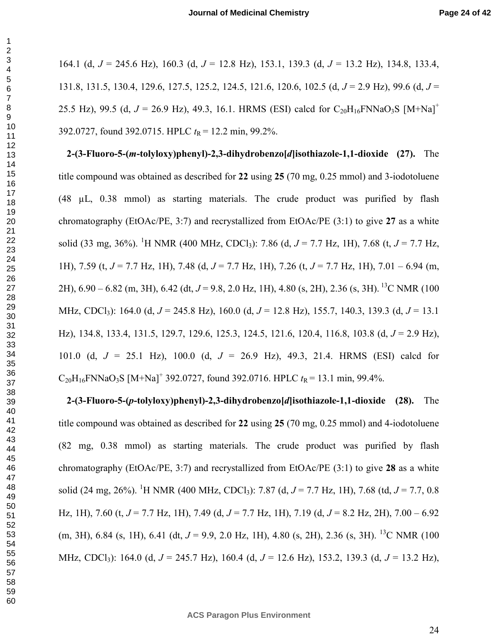164.1 (d, *J* = 245.6 Hz), 160.3 (d, *J* = 12.8 Hz), 153.1, 139.3 (d, *J* = 13.2 Hz), 134.8, 133.4, 131.8, 131.5, 130.4, 129.6, 127.5, 125.2, 124.5, 121.6, 120.6, 102.5 (d, *J* = 2.9 Hz), 99.6 (d, *J* = 25.5 Hz), 99.5 (d,  $J = 26.9$  Hz), 49.3, 16.1. HRMS (ESI) calcd for  $C_{20}H_{16}FNNaO_3S$  [M+Na]<sup>+</sup> 392.0727, found 392.0715. HPLC  $t_R$  = 12.2 min, 99.2%.

**2-(3-Fluoro-5-(***m***-tolyloxy)phenyl)-2,3-dihydrobenzo[***d***]isothiazole-1,1-dioxide (27).** The title compound was obtained as described for **22** using **25** (70 mg, 0.25 mmol) and 3-iodotoluene (48 µL, 0.38 mmol) as starting materials. The crude product was purified by flash chromatography (EtOAc/PE, 3:7) and recrystallized from EtOAc/PE (3:1) to give **27** as a white solid (33 mg, 36%). <sup>1</sup>H NMR (400 MHz, CDCl<sub>3</sub>): 7.86 (d,  $J = 7.7$  Hz, 1H), 7.68 (t,  $J = 7.7$  Hz, 1H), 7.59 (t, *J* = 7.7 Hz, 1H), 7.48 (d, *J* = 7.7 Hz, 1H), 7.26 (t, *J* = 7.7 Hz, 1H), 7.01 – 6.94 (m, 2H), 6.90 – 6.82 (m, 3H), 6.42 (dt, *J* = 9.8, 2.0 Hz, 1H), 4.80 (s, 2H), 2.36 (s, 3H).<sup>13</sup>C NMR (100 MHz, CDCl3): 164.0 (d, *J* = 245.8 Hz), 160.0 (d, *J* = 12.8 Hz), 155.7, 140.3, 139.3 (d, *J* = 13.1 Hz), 134.8, 133.4, 131.5, 129.7, 129.6, 125.3, 124.5, 121.6, 120.4, 116.8, 103.8 (d, *J* = 2.9 Hz), 101.0 (d, *J* = 25.1 Hz), 100.0 (d, *J* = 26.9 Hz), 49.3, 21.4. HRMS (ESI) calcd for  $C_{20}H_{16}$ FNNaO<sub>3</sub>S [M+Na]<sup>+</sup> 392.0727, found 392.0716. HPLC  $t_R$  = 13.1 min, 99.4%.

**2-(3-Fluoro-5-(***p***-tolyloxy)phenyl)-2,3-dihydrobenzo[***d***]isothiazole-1,1-dioxide (28).** The title compound was obtained as described for **22** using **25** (70 mg, 0.25 mmol) and 4-iodotoluene (82 mg, 0.38 mmol) as starting materials. The crude product was purified by flash chromatography (EtOAc/PE, 3:7) and recrystallized from EtOAc/PE (3:1) to give **28** as a white solid (24 mg, 26%). <sup>1</sup>H NMR (400 MHz, CDCl<sub>3</sub>): 7.87 (d,  $J = 7.7$  Hz, 1H), 7.68 (td,  $J = 7.7$ , 0.8 Hz, 1H), 7.60 (t, *J* = 7.7 Hz, 1H), 7.49 (d, *J* = 7.7 Hz, 1H), 7.19 (d, *J* = 8.2 Hz, 2H), 7.00 – 6.92 (m, 3H), 6.84 (s, 1H), 6.41 (dt,  $J = 9.9$ , 2.0 Hz, 1H), 4.80 (s, 2H), 2.36 (s, 3H). <sup>13</sup>C NMR (100 MHz, CDCl3): 164.0 (d, *J* = 245.7 Hz), 160.4 (d, *J* = 12.6 Hz), 153.2, 139.3 (d, *J* = 13.2 Hz),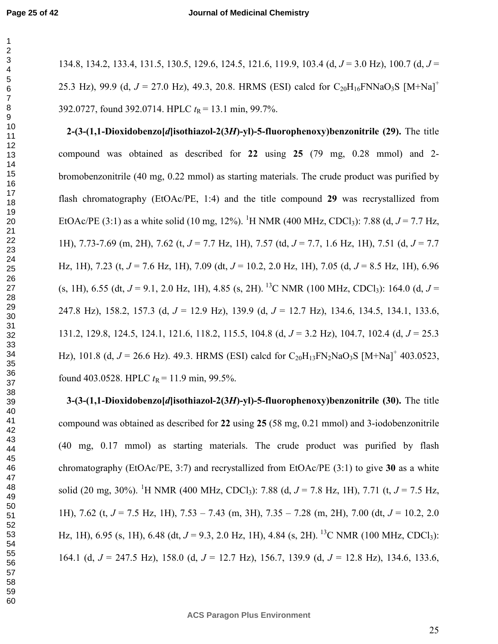134.8, 134.2, 133.4, 131.5, 130.5, 129.6, 124.5, 121.6, 119.9, 103.4 (d, *J* = 3.0 Hz), 100.7 (d, *J* = 25.3 Hz), 99.9 (d,  $J = 27.0$  Hz), 49.3, 20.8. HRMS (ESI) calcd for  $C_{20}H_{16}FNNaO_3S$  [M+Na]<sup>+</sup> 392.0727, found 392.0714. HPLC  $t_R = 13.1$  min, 99.7%.

**2-(3-(1,1-Dioxidobenzo[***d***]isothiazol-2(3***H***)-yl)-5-fluorophenoxy)benzonitrile (29).** The title compound was obtained as described for **22** using **25** (79 mg, 0.28 mmol) and 2 bromobenzonitrile (40 mg, 0.22 mmol) as starting materials. The crude product was purified by flash chromatography (EtOAc/PE, 1:4) and the title compound **29** was recrystallized from EtOAc/PE (3:1) as a white solid (10 mg, 12%). <sup>1</sup>H NMR (400 MHz, CDCl<sub>3</sub>): 7.88 (d,  $J = 7.7$  Hz, 1H), 7.73-7.69 (m, 2H), 7.62 (t, *J* = 7.7 Hz, 1H), 7.57 (td, *J* = 7.7, 1.6 Hz, 1H), 7.51 (d, *J* = 7.7 Hz, 1H), 7.23 (t, *J* = 7.6 Hz, 1H), 7.09 (dt, *J* = 10.2, 2.0 Hz, 1H), 7.05 (d, *J* = 8.5 Hz, 1H), 6.96  $(s, 1H)$ , 6.55 (dt,  $J = 9.1$ , 2.0 Hz, 1H), 4.85 (s, 2H).<sup>13</sup>C NMR (100 MHz, CDCl<sub>3</sub>): 164.0 (d,  $J =$ 247.8 Hz), 158.2, 157.3 (d, *J* = 12.9 Hz), 139.9 (d, *J* = 12.7 Hz), 134.6, 134.5, 134.1, 133.6, 131.2, 129.8, 124.5, 124.1, 121.6, 118.2, 115.5, 104.8 (d, *J* = 3.2 Hz), 104.7, 102.4 (d, *J* = 25.3 Hz), 101.8 (d,  $J = 26.6$  Hz). 49.3. HRMS (ESI) calcd for  $C_{20}H_{13}FN_{2}NaO_{3}S$  [M+Na]<sup>+</sup> 403.0523, found 403.0528. HPLC  $t_R = 11.9$  min, 99.5%.

**3-(3-(1,1-Dioxidobenzo[***d***]isothiazol-2(3***H***)-yl)-5-fluorophenoxy)benzonitrile (30).** The title compound was obtained as described for **22** using **25** (58 mg, 0.21 mmol) and 3-iodobenzonitrile (40 mg, 0.17 mmol) as starting materials. The crude product was purified by flash chromatography (EtOAc/PE, 3:7) and recrystallized from EtOAc/PE (3:1) to give **30** as a white solid (20 mg, 30%). <sup>1</sup>H NMR (400 MHz, CDCl<sub>3</sub>): 7.88 (d,  $J = 7.8$  Hz, 1H), 7.71 (t,  $J = 7.5$  Hz, 1H), 7.62 (t, *J* = 7.5 Hz, 1H), 7.53 – 7.43 (m, 3H), 7.35 – 7.28 (m, 2H), 7.00 (dt, *J* = 10.2, 2.0 Hz, 1H), 6.95 (s, 1H), 6.48 (dt,  $J = 9.3$ , 2.0 Hz, 1H), 4.84 (s, 2H). <sup>13</sup>C NMR (100 MHz, CDCl<sub>3</sub>): 164.1 (d, *J* = 247.5 Hz), 158.0 (d, *J* = 12.7 Hz), 156.7, 139.9 (d, *J* = 12.8 Hz), 134.6, 133.6,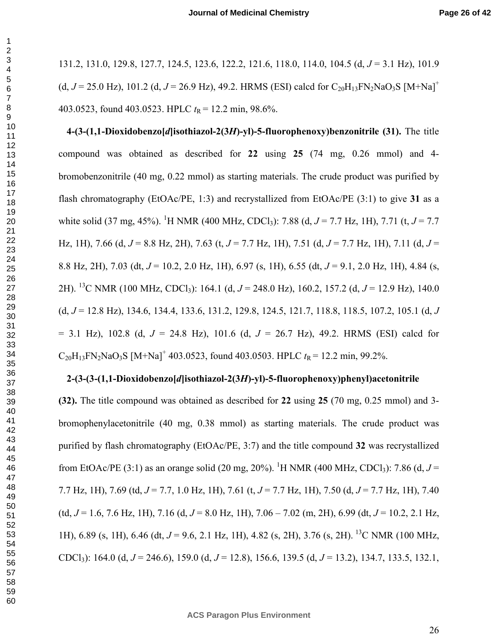131.2, 131.0, 129.8, 127.7, 124.5, 123.6, 122.2, 121.6, 118.0, 114.0, 104.5 (d, *J* = 3.1 Hz), 101.9 (d,  $J = 25.0$  Hz), 101.2 (d,  $J = 26.9$  Hz), 49.2. HRMS (ESI) calcd for  $C_{20}H_{13}FN_{2}NaO_{3}S$  [M+Na]<sup>+</sup> 403.0523, found 403.0523. HPLC  $t_R$  = 12.2 min, 98.6%.

**4-(3-(1,1-Dioxidobenzo[***d***]isothiazol-2(3***H***)-yl)-5-fluorophenoxy)benzonitrile (31).** The title compound was obtained as described for **22** using **25** (74 mg, 0.26 mmol) and 4 bromobenzonitrile (40 mg, 0.22 mmol) as starting materials. The crude product was purified by flash chromatography (EtOAc/PE, 1:3) and recrystallized from EtOAc/PE (3:1) to give **31** as a white solid (37 mg, 45%). <sup>1</sup>H NMR (400 MHz, CDCl<sub>3</sub>): 7.88 (d,  $J = 7.7$  Hz, 1H), 7.71 (t,  $J = 7.7$ Hz, 1H), 7.66 (d, *J* = 8.8 Hz, 2H), 7.63 (t, *J* = 7.7 Hz, 1H), 7.51 (d, *J* = 7.7 Hz, 1H), 7.11 (d, *J* = 8.8 Hz, 2H), 7.03 (dt, *J* = 10.2, 2.0 Hz, 1H), 6.97 (s, 1H), 6.55 (dt, *J* = 9.1, 2.0 Hz, 1H), 4.84 (s, 2H). <sup>13</sup>C NMR (100 MHz, CDCl3): 164.1 (d, *J* = 248.0 Hz), 160.2, 157.2 (d, *J* = 12.9 Hz), 140.0 (d, *J* = 12.8 Hz), 134.6, 134.4, 133.6, 131.2, 129.8, 124.5, 121.7, 118.8, 118.5, 107.2, 105.1 (d, *J* = 3.1 Hz), 102.8 (d, *J* = 24.8 Hz), 101.6 (d, *J* = 26.7 Hz), 49.2. HRMS (ESI) calcd for  $C_{20}H_{13}FN_{2}NaO_{3}S$  [M+Na]<sup>+</sup> 403.0523, found 403.0503. HPLC  $t_R$  = 12.2 min, 99.2%.

#### **2-(3-(3-(1,1-Dioxidobenzo[***d***]isothiazol-2(3***H***)-yl)-5-fluorophenoxy)phenyl)acetonitrile**

**(32).** The title compound was obtained as described for **22** using **25** (70 mg, 0.25 mmol) and 3 bromophenylacetonitrile (40 mg, 0.38 mmol) as starting materials. The crude product was purified by flash chromatography (EtOAc/PE, 3:7) and the title compound **32** was recrystallized from EtOAc/PE (3:1) as an orange solid (20 mg, 20%). <sup>1</sup>H NMR (400 MHz, CDCl<sub>3</sub>): 7.86 (d,  $J =$ 7.7 Hz, 1H), 7.69 (td, *J* = 7.7, 1.0 Hz, 1H), 7.61 (t, *J* = 7.7 Hz, 1H), 7.50 (d, *J* = 7.7 Hz, 1H), 7.40 (td,  $J = 1.6$ , 7.6 Hz, 1H), 7.16 (d,  $J = 8.0$  Hz, 1H), 7.06 – 7.02 (m, 2H), 6.99 (dt,  $J = 10.2$ , 2.1 Hz, 1H), 6.89 (s, 1H), 6.46 (dt, *J* = 9.6, 2.1 Hz, 1H), 4.82 (s, 2H), 3.76 (s, 2H). <sup>13</sup>C NMR (100 MHz, CDCl3): 164.0 (d, *J* = 246.6), 159.0 (d, *J* = 12.8), 156.6, 139.5 (d, *J* = 13.2), 134.7, 133.5, 132.1,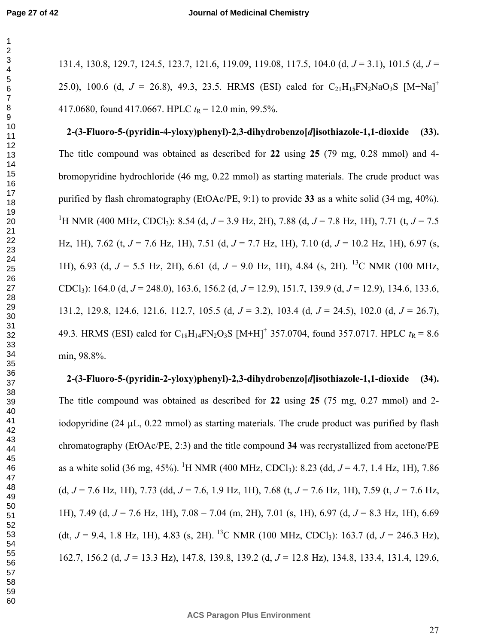131.4, 130.8, 129.7, 124.5, 123.7, 121.6, 119.09, 119.08, 117.5, 104.0 (d, *J* = 3.1), 101.5 (d, *J* = 25.0), 100.6 (d,  $J = 26.8$ ), 49.3, 23.5. HRMS (ESI) calcd for  $C_{21}H_{15}FN_{2}NaO_{3}S$  [M+Na]<sup>+</sup> 417.0680, found 417.0667. HPLC  $t_R$  = 12.0 min, 99.5%.

**2-(3-Fluoro-5-(pyridin-4-yloxy)phenyl)-2,3-dihydrobenzo[***d***]isothiazole-1,1-dioxide (33).** The title compound was obtained as described for **22** using **25** (79 mg, 0.28 mmol) and 4 bromopyridine hydrochloride (46 mg, 0.22 mmol) as starting materials. The crude product was purified by flash chromatography (EtOAc/PE, 9:1) to provide **33** as a white solid (34 mg, 40%). <sup>1</sup>H NMR (400 MHz, CDCl<sub>3</sub>): 8.54 (d,  $J = 3.9$  Hz, 2H), 7.88 (d,  $J = 7.8$  Hz, 1H), 7.71 (t,  $J = 7.5$ Hz, 1H), 7.62 (t, *J* = 7.6 Hz, 1H), 7.51 (d, *J* = 7.7 Hz, 1H), 7.10 (d, *J* = 10.2 Hz, 1H), 6.97 (s, 1H), 6.93 (d, *J* = 5.5 Hz, 2H), 6.61 (d, *J* = 9.0 Hz, 1H), 4.84 (s, 2H). <sup>13</sup>C NMR (100 MHz, CDCl3): 164.0 (d, *J* = 248.0), 163.6, 156.2 (d, *J* = 12.9), 151.7, 139.9 (d, *J* = 12.9), 134.6, 133.6, 131.2, 129.8, 124.6, 121.6, 112.7, 105.5 (d, *J* = 3.2), 103.4 (d, *J* = 24.5), 102.0 (d, *J* = 26.7), 49.3. HRMS (ESI) calcd for  $C_{18}H_{14}FN_2O_3S$  [M+H]<sup>+</sup> 357.0704, found 357.0717. HPLC  $t_R = 8.6$ min, 98.8%.

**2-(3-Fluoro-5-(pyridin-2-yloxy)phenyl)-2,3-dihydrobenzo[***d***]isothiazole-1,1-dioxide (34).**  The title compound was obtained as described for **22** using **25** (75 mg, 0.27 mmol) and 2 iodopyridine (24  $\mu$ L, 0.22 mmol) as starting materials. The crude product was purified by flash chromatography (EtOAc/PE, 2:3) and the title compound **34** was recrystallized from acetone/PE as a white solid (36 mg, 45%). <sup>1</sup>H NMR (400 MHz, CDCl<sub>3</sub>): 8.23 (dd,  $J = 4.7, 1.4$  Hz, 1H), 7.86 (d, *J* = 7.6 Hz, 1H), 7.73 (dd, *J* = 7.6, 1.9 Hz, 1H), 7.68 (t, *J* = 7.6 Hz, 1H), 7.59 (t, *J* = 7.6 Hz, 1H), 7.49 (d, *J* = 7.6 Hz, 1H), 7.08 – 7.04 (m, 2H), 7.01 (s, 1H), 6.97 (d, *J* = 8.3 Hz, 1H), 6.69 (dt,  $J = 9.4$ , 1.8 Hz, 1H), 4.83 (s, 2H).<sup>13</sup>C NMR (100 MHz, CDCl<sub>3</sub>): 163.7 (d,  $J = 246.3$  Hz), 162.7, 156.2 (d, *J* = 13.3 Hz), 147.8, 139.8, 139.2 (d, *J* = 12.8 Hz), 134.8, 133.4, 131.4, 129.6,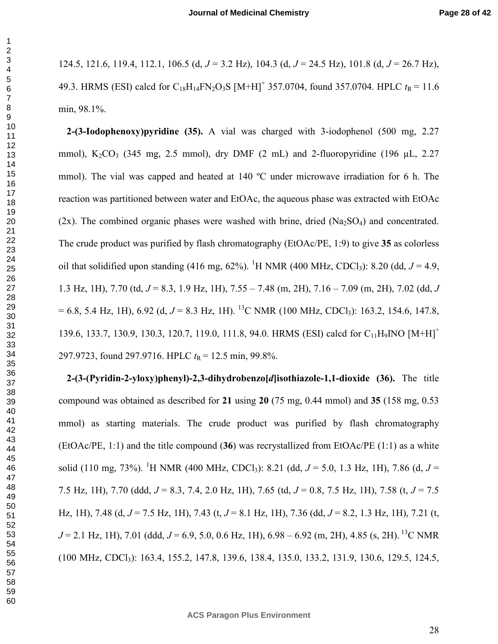124.5, 121.6, 119.4, 112.1, 106.5 (d, *J* = 3.2 Hz), 104.3 (d, *J* = 24.5 Hz), 101.8 (d, *J* = 26.7 Hz), 49.3. HRMS (ESI) calcd for  $C_{18}H_{14}FN_2O_3S$  [M+H]<sup>+</sup> 357.0704, found 357.0704. HPLC  $t_R = 11.6$ min, 98.1%.

**2-(3-Iodophenoxy)pyridine (35).** A vial was charged with 3-iodophenol (500 mg, 2.27 mmol),  $K_2CO_3$  (345 mg, 2.5 mmol), dry DMF (2 mL) and 2-fluoropyridine (196 µL, 2.27 mmol). The vial was capped and heated at 140 °C under microwave irradiation for 6 h. The reaction was partitioned between water and EtOAc, the aqueous phase was extracted with EtOAc  $(2x)$ . The combined organic phases were washed with brine, dried  $(Na_2SO_4)$  and concentrated. The crude product was purified by flash chromatography (EtOAc/PE, 1:9) to give **35** as colorless oil that solidified upon standing (416 mg,  $62\%$ ). <sup>1</sup>H NMR (400 MHz, CDCl<sub>3</sub>): 8.20 (dd,  $J = 4.9$ , 1.3 Hz, 1H), 7.70 (td, *J* = 8.3, 1.9 Hz, 1H), 7.55 – 7.48 (m, 2H), 7.16 – 7.09 (m, 2H), 7.02 (dd, *J*  $= 6.8$ , 5.4 Hz, 1H), 6.92 (d,  $J = 8.3$  Hz, 1H). <sup>13</sup>C NMR (100 MHz, CDCl<sub>3</sub>): 163.2, 154.6, 147.8, 139.6, 133.7, 130.9, 130.3, 120.7, 119.0, 111.8, 94.0. HRMS (ESI) calcd for C<sub>11</sub>H<sub>9</sub>INO [M+H]<sup>+</sup> 297.9723, found 297.9716. HPLC  $t_R$  = 12.5 min, 99.8%.

**2-(3-(Pyridin-2-yloxy)phenyl)-2,3-dihydrobenzo[***d***]isothiazole-1,1-dioxide (36).** The title compound was obtained as described for **21** using **20** (75 mg, 0.44 mmol) and **35** (158 mg, 0.53 mmol) as starting materials. The crude product was purified by flash chromatography (EtOAc/PE, 1:1) and the title compound (**36**) was recrystallized from EtOAc/PE (1:1) as a white solid (110 mg, 73%). <sup>1</sup>H NMR (400 MHz, CDCl<sub>3</sub>): 8.21 (dd,  $J = 5.0$ , 1.3 Hz, 1H), 7.86 (d,  $J =$ 7.5 Hz, 1H), 7.70 (ddd, *J* = 8.3, 7.4, 2.0 Hz, 1H), 7.65 (td, *J* = 0.8, 7.5 Hz, 1H), 7.58 (t, *J* = 7.5 Hz, 1H), 7.48 (d, *J* = 7.5 Hz, 1H), 7.43 (t, *J* = 8.1 Hz, 1H), 7.36 (dd, *J* = 8.2, 1.3 Hz, 1H), 7.21 (t,  $J = 2.1$  Hz, 1H), 7.01 (ddd,  $J = 6.9$ , 5.0, 0.6 Hz, 1H), 6.98 – 6.92 (m, 2H), 4.85 (s, 2H).<sup>13</sup>C NMR (100 MHz, CDCl3): 163.4, 155.2, 147.8, 139.6, 138.4, 135.0, 133.2, 131.9, 130.6, 129.5, 124.5,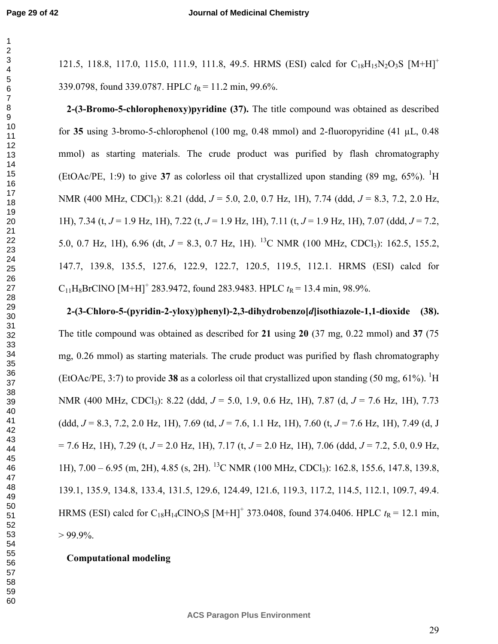121.5, 118.8, 117.0, 115.0, 111.9, 111.8, 49.5. HRMS (ESI) calcd for  $C_{18}H_{15}N_2O_3S$   $[M+H]<sup>+</sup>$ 339.0798, found 339.0787. HPLC  $t_R = 11.2$  min, 99.6%. **2-(3-Bromo-5-chlorophenoxy)pyridine (37).** The title compound was obtained as described for **35** using 3-bromo-5-chlorophenol (100 mg, 0.48 mmol) and 2-fluoropyridine (41 µL, 0.48 mmol) as starting materials. The crude product was purified by flash chromatography (EtOAc/PE, 1:9) to give **37** as colorless oil that crystallized upon standing  $(89 \text{ mg}, 65\%)$ . <sup>1</sup>H NMR (400 MHz, CDCl3): 8.21 (ddd, *J* = 5.0, 2.0, 0.7 Hz, 1H), 7.74 (ddd, *J* = 8.3, 7.2, 2.0 Hz, 1H), 7.34 (t, *J* = 1.9 Hz, 1H), 7.22 (t, *J* = 1.9 Hz, 1H), 7.11 (t, *J* = 1.9 Hz, 1H), 7.07 (ddd, *J* = 7.2, 5.0, 0.7 Hz, 1H), 6.96 (dt,  $J = 8.3$ , 0.7 Hz, 1H). <sup>13</sup>C NMR (100 MHz, CDCl<sub>3</sub>): 162.5, 155.2, 147.7, 139.8, 135.5, 127.6, 122.9, 122.7, 120.5, 119.5, 112.1. HRMS (ESI) calcd for  $C_{11}H_8BrCINO [M+H]^+$  283.9472, found 283.9483. HPLC  $t_R$  = 13.4 min, 98.9%. **2-(3-Chloro-5-(pyridin-2-yloxy)phenyl)-2,3-dihydrobenzo[***d***]isothiazole-1,1-dioxide (38).** 

The title compound was obtained as described for **21** using **20** (37 mg, 0.22 mmol) and **37** (75 mg, 0.26 mmol) as starting materials. The crude product was purified by flash chromatography (EtOAc/PE, 3:7) to provide 38 as a colorless oil that crystallized upon standing  $(50 \text{ mg}, 61\%)$ . <sup>1</sup>H NMR (400 MHz, CDCl3): 8.22 (ddd, *J* = 5.0, 1.9, 0.6 Hz, 1H), 7.87 (d, *J* = 7.6 Hz, 1H), 7.73 (ddd, *J* = 8.3, 7.2, 2.0 Hz, 1H), 7.69 (td, *J* = 7.6, 1.1 Hz, 1H), 7.60 (t, *J* = 7.6 Hz, 1H), 7.49 (d, J = 7.6 Hz, 1H), 7.29 (t, *J* = 2.0 Hz, 1H), 7.17 (t, *J* = 2.0 Hz, 1H), 7.06 (ddd, *J* = 7.2, 5.0, 0.9 Hz, 1H), 7.00 – 6.95 (m, 2H), 4.85 (s, 2H). <sup>13</sup>C NMR (100 MHz, CDCl3): 162.8, 155.6, 147.8, 139.8, 139.1, 135.9, 134.8, 133.4, 131.5, 129.6, 124.49, 121.6, 119.3, 117.2, 114.5, 112.1, 109.7, 49.4. HRMS (ESI) calcd for C<sub>18</sub>H<sub>14</sub>ClNO<sub>3</sub>S [M+H]<sup>+</sup> 373.0408, found 374.0406. HPLC  $t_R$  = 12.1 min,  $> 99.9\%$ .

## **Computational modeling**

**ACS Paragon Plus Environment**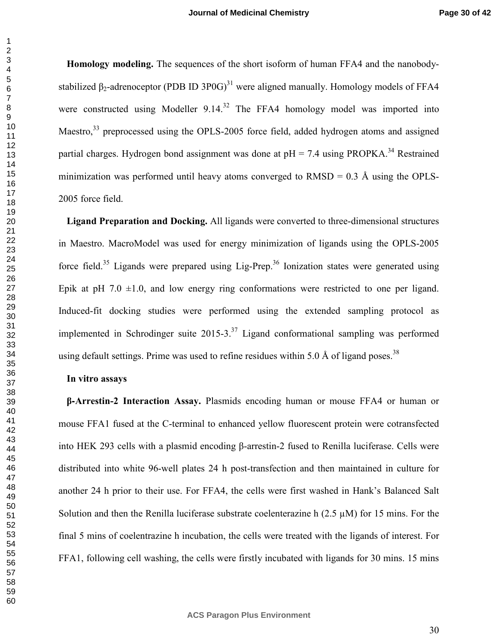**Homology modeling.** The sequences of the short isoform of human FFA4 and the nanobodystabilized  $\beta_2$ -adrenoceptor (PDB ID 3P0G)<sup>31</sup> were aligned manually. Homology models of FFA4 were constructed using Modeller  $9.14<sup>32</sup>$  The FFA4 homology model was imported into Maestro,<sup>33</sup> preprocessed using the OPLS-2005 force field, added hydrogen atoms and assigned partial charges. Hydrogen bond assignment was done at  $pH = 7.4$  using PROPKA.<sup>34</sup> Restrained minimization was performed until heavy atoms converged to  $RMSD = 0.3$  Å using the OPLS-2005 force field.

**Ligand Preparation and Docking.** All ligands were converted to three-dimensional structures in Maestro. MacroModel was used for energy minimization of ligands using the OPLS-2005 force field.<sup>35</sup> Ligands were prepared using Lig-Prep.<sup>36</sup> Ionization states were generated using Epik at pH 7.0  $\pm$ 1.0, and low energy ring conformations were restricted to one per ligand. Induced-fit docking studies were performed using the extended sampling protocol as implemented in Schrodinger suite  $2015-3$ <sup>37</sup> Ligand conformational sampling was performed using default settings. Prime was used to refine residues within 5.0 Å of ligand poses.<sup>38</sup>

#### **In vitro assays**

**β**‐**Arrestin-2 Interaction Assay.** Plasmids encoding human or mouse FFA4 or human or mouse FFA1 fused at the C-terminal to enhanced yellow fluorescent protein were cotransfected into HEK 293 cells with a plasmid encoding β-arrestin-2 fused to Renilla luciferase. Cells were distributed into white 96-well plates 24 h post-transfection and then maintained in culture for another 24 h prior to their use. For FFA4, the cells were first washed in Hank's Balanced Salt Solution and then the Renilla luciferase substrate coelenterazine h  $(2.5 \mu M)$  for 15 mins. For the final 5 mins of coelentrazine h incubation, the cells were treated with the ligands of interest. For FFA1, following cell washing, the cells were firstly incubated with ligands for 30 mins. 15 mins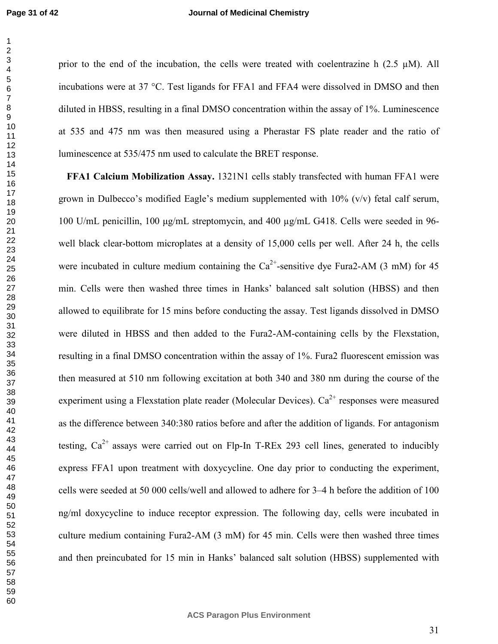#### **Journal of Medicinal Chemistry**

prior to the end of the incubation, the cells were treated with coelentrazine h  $(2.5 \mu M)$ . All incubations were at 37 °C. Test ligands for FFA1 and FFA4 were dissolved in DMSO and then diluted in HBSS, resulting in a final DMSO concentration within the assay of 1%. Luminescence at 535 and 475 nm was then measured using a Pherastar FS plate reader and the ratio of luminescence at 535/475 nm used to calculate the BRET response.

**FFA1 Calcium Mobilization Assay.** 1321N1 cells stably transfected with human FFA1 were grown in Dulbecco's modified Eagle's medium supplemented with  $10\%$  (v/v) fetal calf serum, 100 U/mL penicillin, 100 µg/mL streptomycin, and 400 µg/mL G418. Cells were seeded in 96 well black clear-bottom microplates at a density of 15,000 cells per well. After 24 h, the cells were incubated in culture medium containing the  $Ca^{2+}$ -sensitive dye Fura2-AM (3 mM) for 45 min. Cells were then washed three times in Hanks' balanced salt solution (HBSS) and then allowed to equilibrate for 15 mins before conducting the assay. Test ligands dissolved in DMSO were diluted in HBSS and then added to the Fura2-AM-containing cells by the Flexstation, resulting in a final DMSO concentration within the assay of 1%. Fura2 fluorescent emission was then measured at 510 nm following excitation at both 340 and 380 nm during the course of the experiment using a Flexstation plate reader (Molecular Devices).  $Ca^{2+}$  responses were measured as the difference between 340:380 ratios before and after the addition of ligands. For antagonism testing,  $Ca^{2+}$  assays were carried out on Flp-In T-REx 293 cell lines, generated to inducibly express FFA1 upon treatment with doxycycline. One day prior to conducting the experiment, cells were seeded at 50 000 cells/well and allowed to adhere for 3–4 h before the addition of 100 ng/ml doxycycline to induce receptor expression. The following day, cells were incubated in culture medium containing Fura2-AM (3 mM) for 45 min. Cells were then washed three times and then preincubated for 15 min in Hanks' balanced salt solution (HBSS) supplemented with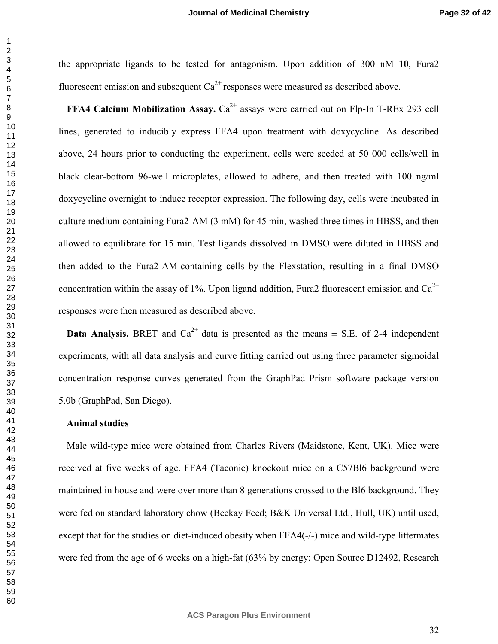the appropriate ligands to be tested for antagonism. Upon addition of 300 nM **10**, Fura2 fluorescent emission and subsequent  $Ca^{2+}$  responses were measured as described above. **FFA4 Calcium Mobilization Assay.**  $Ca^{2+}$  assays were carried out on Flp-In T-REx 293 cell lines, generated to inducibly express FFA4 upon treatment with doxycycline. As described

above, 24 hours prior to conducting the experiment, cells were seeded at 50 000 cells/well in black clear-bottom 96-well microplates, allowed to adhere, and then treated with 100 ng/ml doxycycline overnight to induce receptor expression. The following day, cells were incubated in culture medium containing Fura2-AM (3 mM) for 45 min, washed three times in HBSS, and then allowed to equilibrate for 15 min. Test ligands dissolved in DMSO were diluted in HBSS and then added to the Fura2-AM-containing cells by the Flexstation, resulting in a final DMSO concentration within the assay of 1%. Upon ligand addition, Fura2 fluorescent emission and  $Ca^{2+}$ responses were then measured as described above.

**Data Analysis.** BRET and  $Ca^{2+}$  data is presented as the means  $\pm$  S.E. of 2-4 independent experiments, with all data analysis and curve fitting carried out using three parameter sigmoidal concentration–response curves generated from the GraphPad Prism software package version 5.0b (GraphPad, San Diego).

#### **Animal studies**

Male wild-type mice were obtained from Charles Rivers (Maidstone, Kent, UK). Mice were received at five weeks of age. FFA4 (Taconic) knockout mice on a C57Bl6 background were maintained in house and were over more than 8 generations crossed to the Bl6 background. They were fed on standard laboratory chow (Beekay Feed; B&K Universal Ltd., Hull, UK) until used, except that for the studies on diet-induced obesity when FFA4(-/-) mice and wild-type littermates were fed from the age of 6 weeks on a high-fat (63% by energy; Open Source D12492, Research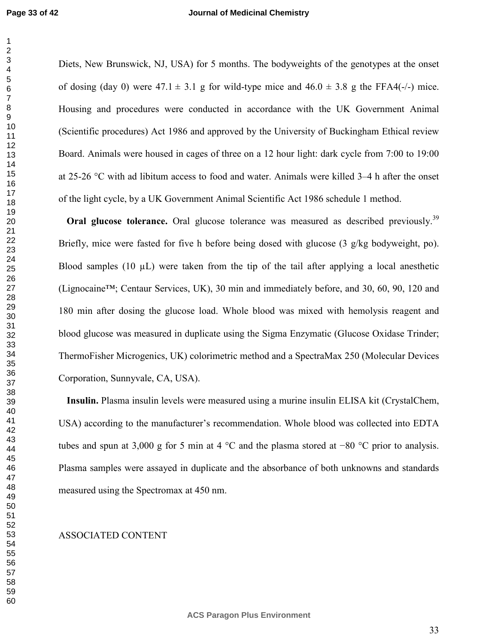#### **Journal of Medicinal Chemistry**

Diets, New Brunswick, NJ, USA) for 5 months. The bodyweights of the genotypes at the onset of dosing (day 0) were  $47.1 \pm 3.1$  g for wild-type mice and  $46.0 \pm 3.8$  g the FFA4(-/-) mice. Housing and procedures were conducted in accordance with the UK Government Animal (Scientific procedures) Act 1986 and approved by the University of Buckingham Ethical review Board. Animals were housed in cages of three on a 12 hour light: dark cycle from 7:00 to 19:00 at 25-26 °C with ad libitum access to food and water. Animals were killed 3–4 h after the onset of the light cycle, by a UK Government Animal Scientific Act 1986 schedule 1 method.

**Oral glucose tolerance.** Oral glucose tolerance was measured as described previously.<sup>39</sup> Briefly, mice were fasted for five h before being dosed with glucose  $(3 \text{ g/kg}$  bodyweight, po). Blood samples (10  $\mu$ L) were taken from the tip of the tail after applying a local anesthetic (Lignocaine™; Centaur Services, UK), 30 min and immediately before, and 30, 60, 90, 120 and 180 min after dosing the glucose load. Whole blood was mixed with hemolysis reagent and blood glucose was measured in duplicate using the Sigma Enzymatic (Glucose Oxidase Trinder; ThermoFisher Microgenics, UK) colorimetric method and a SpectraMax 250 (Molecular Devices Corporation, Sunnyvale, CA, USA).

**Insulin.** Plasma insulin levels were measured using a murine insulin ELISA kit (CrystalChem, USA) according to the manufacturer's recommendation. Whole blood was collected into EDTA tubes and spun at 3,000 g for 5 min at 4 °C and the plasma stored at −80 °C prior to analysis. Plasma samples were assayed in duplicate and the absorbance of both unknowns and standards measured using the Spectromax at 450 nm.

#### ASSOCIATED CONTENT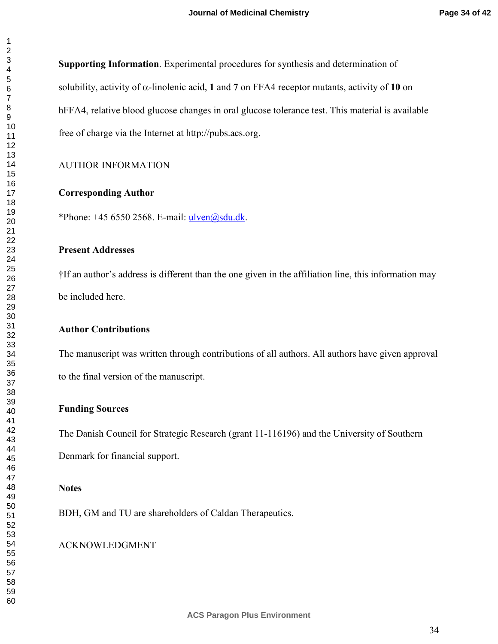**Supporting Information**. Experimental procedures for synthesis and determination of solubility, activity of  $\alpha$ -linolenic acid, 1 and 7 on FFA4 receptor mutants, activity of 10 on hFFA4, relative blood glucose changes in oral glucose tolerance test. This material is available free of charge via the Internet at http://pubs.acs.org.

## AUTHOR INFORMATION

#### **Corresponding Author**

\*Phone:  $+45$  6550 2568. E-mail:  $ulven@sdu.dk$ .

## **Present Addresses**

†If an author's address is different than the one given in the affiliation line, this information may be included here.

## **Author Contributions**

The manuscript was written through contributions of all authors. All authors have given approval to the final version of the manuscript.

## **Funding Sources**

The Danish Council for Strategic Research (grant 11-116196) and the University of Southern Denmark for financial support.

#### **Notes**

BDH, GM and TU are shareholders of Caldan Therapeutics.

## ACKNOWLEDGMENT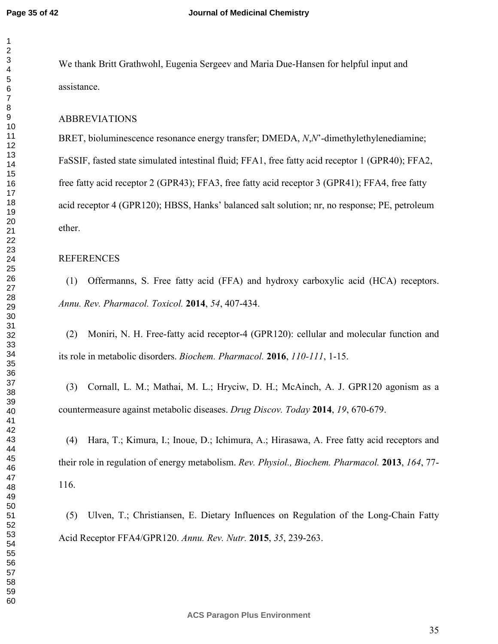We thank Britt Grathwohl, Eugenia Sergeev and Maria Due-Hansen for helpful input and assistance.

## ABBREVIATIONS

BRET, bioluminescence resonance energy transfer; DMEDA, *N*,*N*'-dimethylethylenediamine; FaSSIF, fasted state simulated intestinal fluid; FFA1, free fatty acid receptor 1 (GPR40); FFA2, free fatty acid receptor 2 (GPR43); FFA3, free fatty acid receptor 3 (GPR41); FFA4, free fatty acid receptor 4 (GPR120); HBSS, Hanks' balanced salt solution; nr, no response; PE, petroleum ether.

#### REFERENCES

(1) Offermanns, S. Free fatty acid (FFA) and hydroxy carboxylic acid (HCA) receptors. *Annu. Rev. Pharmacol. Toxicol.* **2014**, *54*, 407-434.

(2) Moniri, N. H. Free-fatty acid receptor-4 (GPR120): cellular and molecular function and its role in metabolic disorders. *Biochem. Pharmacol.* **2016**, *110-111*, 1-15.

(3) Cornall, L. M.; Mathai, M. L.; Hryciw, D. H.; McAinch, A. J. GPR120 agonism as a countermeasure against metabolic diseases. *Drug Discov. Today* **2014**, *19*, 670-679.

(4) Hara, T.; Kimura, I.; Inoue, D.; Ichimura, A.; Hirasawa, A. Free fatty acid receptors and their role in regulation of energy metabolism. *Rev. Physiol., Biochem. Pharmacol.* **2013**, *164*, 77- 116.

(5) Ulven, T.; Christiansen, E. Dietary Influences on Regulation of the Long-Chain Fatty Acid Receptor FFA4/GPR120. *Annu. Rev. Nutr.* **2015**, *35*, 239-263.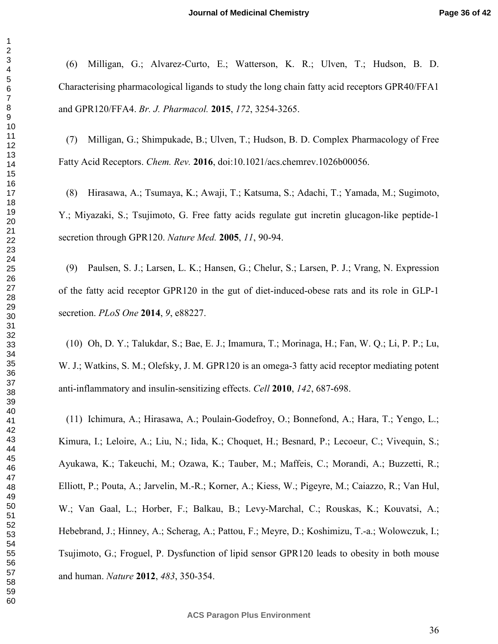(6) Milligan, G.; Alvarez-Curto, E.; Watterson, K. R.; Ulven, T.; Hudson, B. D. Characterising pharmacological ligands to study the long chain fatty acid receptors GPR40/FFA1 and GPR120/FFA4. *Br. J. Pharmacol.* **2015**, *172*, 3254-3265.

(7) Milligan, G.; Shimpukade, B.; Ulven, T.; Hudson, B. D. Complex Pharmacology of Free Fatty Acid Receptors. *Chem. Rev.* **2016**, doi:10.1021/acs.chemrev.1026b00056.

(8) Hirasawa, A.; Tsumaya, K.; Awaji, T.; Katsuma, S.; Adachi, T.; Yamada, M.; Sugimoto, Y.; Miyazaki, S.; Tsujimoto, G. Free fatty acids regulate gut incretin glucagon-like peptide-1 secretion through GPR120. *Nature Med.* **2005**, *11*, 90-94.

(9) Paulsen, S. J.; Larsen, L. K.; Hansen, G.; Chelur, S.; Larsen, P. J.; Vrang, N. Expression of the fatty acid receptor GPR120 in the gut of diet-induced-obese rats and its role in GLP-1 secretion. *PLoS One* **2014**, *9*, e88227.

(10) Oh, D. Y.; Talukdar, S.; Bae, E. J.; Imamura, T.; Morinaga, H.; Fan, W. Q.; Li, P. P.; Lu, W. J.; Watkins, S. M.; Olefsky, J. M. GPR120 is an omega-3 fatty acid receptor mediating potent anti-inflammatory and insulin-sensitizing effects. *Cell* **2010**, *142*, 687-698.

(11) Ichimura, A.; Hirasawa, A.; Poulain-Godefroy, O.; Bonnefond, A.; Hara, T.; Yengo, L.; Kimura, I.; Leloire, A.; Liu, N.; Iida, K.; Choquet, H.; Besnard, P.; Lecoeur, C.; Vivequin, S.; Ayukawa, K.; Takeuchi, M.; Ozawa, K.; Tauber, M.; Maffeis, C.; Morandi, A.; Buzzetti, R.; Elliott, P.; Pouta, A.; Jarvelin, M.-R.; Korner, A.; Kiess, W.; Pigeyre, M.; Caiazzo, R.; Van Hul, W.; Van Gaal, L.; Horber, F.; Balkau, B.; Levy-Marchal, C.; Rouskas, K.; Kouvatsi, A.; Hebebrand, J.; Hinney, A.; Scherag, A.; Pattou, F.; Meyre, D.; Koshimizu, T.-a.; Wolowczuk, I.; Tsujimoto, G.; Froguel, P. Dysfunction of lipid sensor GPR120 leads to obesity in both mouse and human. *Nature* **2012**, *483*, 350-354.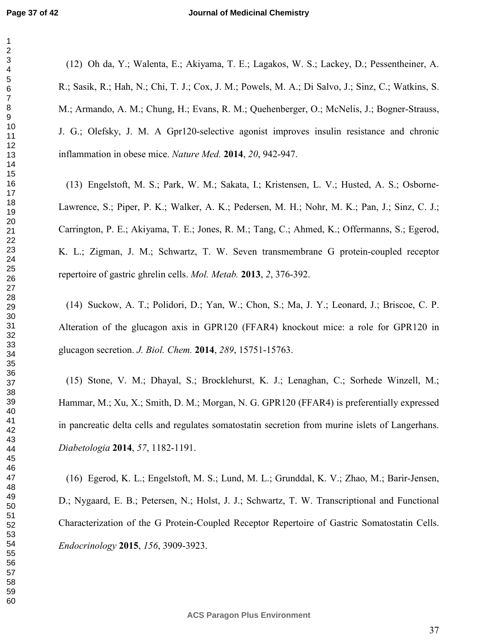(12) Oh da, Y.; Walenta, E.; Akiyama, T. E.; Lagakos, W. S.; Lackey, D.; Pessentheiner, A. R.; Sasik, R.; Hah, N.; Chi, T. J.; Cox, J. M.; Powels, M. A.; Di Salvo, J.; Sinz, C.; Watkins, S. M.; Armando, A. M.; Chung, H.; Evans, R. M.; Quehenberger, O.; McNelis, J.; Bogner-Strauss, J. G.; Olefsky, J. M. A Gpr120-selective agonist improves insulin resistance and chronic inflammation in obese mice. *Nature Med.* **2014**, *20*, 942-947.

(13) Engelstoft, M. S.; Park, W. M.; Sakata, I.; Kristensen, L. V.; Husted, A. S.; Osborne-Lawrence, S.; Piper, P. K.; Walker, A. K.; Pedersen, M. H.; Nohr, M. K.; Pan, J.; Sinz, C. J.; Carrington, P. E.; Akiyama, T. E.; Jones, R. M.; Tang, C.; Ahmed, K.; Offermanns, S.; Egerod, K. L.; Zigman, J. M.; Schwartz, T. W. Seven transmembrane G protein-coupled receptor repertoire of gastric ghrelin cells. *Mol. Metab.* **2013**, *2*, 376-392.

(14) Suckow, A. T.; Polidori, D.; Yan, W.; Chon, S.; Ma, J. Y.; Leonard, J.; Briscoe, C. P. Alteration of the glucagon axis in GPR120 (FFAR4) knockout mice: a role for GPR120 in glucagon secretion. *J. Biol. Chem.* **2014**, *289*, 15751-15763.

(15) Stone, V. M.; Dhayal, S.; Brocklehurst, K. J.; Lenaghan, C.; Sorhede Winzell, M.; Hammar, M.; Xu, X.; Smith, D. M.; Morgan, N. G. GPR120 (FFAR4) is preferentially expressed in pancreatic delta cells and regulates somatostatin secretion from murine islets of Langerhans. *Diabetologia* **2014**, *57*, 1182-1191.

(16) Egerod, K. L.; Engelstoft, M. S.; Lund, M. L.; Grunddal, K. V.; Zhao, M.; Barir-Jensen, D.; Nygaard, E. B.; Petersen, N.; Holst, J. J.; Schwartz, T. W. Transcriptional and Functional Characterization of the G Protein-Coupled Receptor Repertoire of Gastric Somatostatin Cells. *Endocrinology* **2015**, *156*, 3909-3923.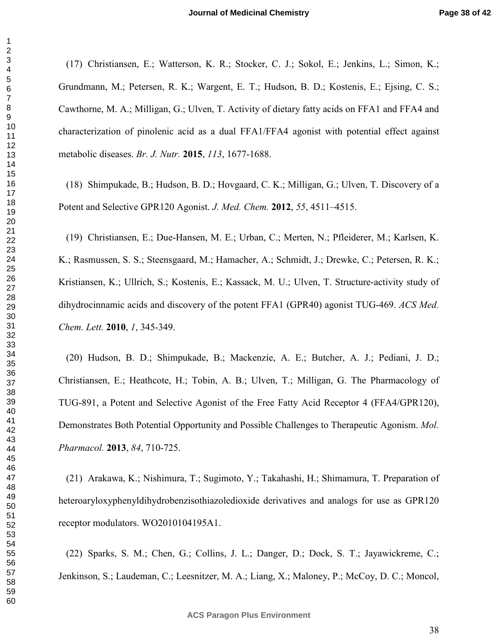(17) Christiansen, E.; Watterson, K. R.; Stocker, C. J.; Sokol, E.; Jenkins, L.; Simon, K.; Grundmann, M.; Petersen, R. K.; Wargent, E. T.; Hudson, B. D.; Kostenis, E.; Ejsing, C. S.; Cawthorne, M. A.; Milligan, G.; Ulven, T. Activity of dietary fatty acids on FFA1 and FFA4 and characterization of pinolenic acid as a dual FFA1/FFA4 agonist with potential effect against metabolic diseases. *Br. J. Nutr.* **2015**, *113*, 1677-1688.

(18) Shimpukade, B.; Hudson, B. D.; Hovgaard, C. K.; Milligan, G.; Ulven, T. Discovery of a Potent and Selective GPR120 Agonist. *J. Med. Chem.* **2012**, *55*, 4511–4515.

(19) Christiansen, E.; Due-Hansen, M. E.; Urban, C.; Merten, N.; Pfleiderer, M.; Karlsen, K. K.; Rasmussen, S. S.; Steensgaard, M.; Hamacher, A.; Schmidt, J.; Drewke, C.; Petersen, R. K.; Kristiansen, K.; Ullrich, S.; Kostenis, E.; Kassack, M. U.; Ulven, T. Structure-activity study of dihydrocinnamic acids and discovery of the potent FFA1 (GPR40) agonist TUG-469. *ACS Med. Chem. Lett.* **2010**, *1*, 345-349.

(20) Hudson, B. D.; Shimpukade, B.; Mackenzie, A. E.; Butcher, A. J.; Pediani, J. D.; Christiansen, E.; Heathcote, H.; Tobin, A. B.; Ulven, T.; Milligan, G. The Pharmacology of TUG-891, a Potent and Selective Agonist of the Free Fatty Acid Receptor 4 (FFA4/GPR120), Demonstrates Both Potential Opportunity and Possible Challenges to Therapeutic Agonism. *Mol. Pharmacol.* **2013**, *84*, 710-725.

(21) Arakawa, K.; Nishimura, T.; Sugimoto, Y.; Takahashi, H.; Shimamura, T. Preparation of heteroaryloxyphenyldihydrobenzisothiazoledioxide derivatives and analogs for use as GPR120 receptor modulators. WO2010104195A1.

(22) Sparks, S. M.; Chen, G.; Collins, J. L.; Danger, D.; Dock, S. T.; Jayawickreme, C.; Jenkinson, S.; Laudeman, C.; Leesnitzer, M. A.; Liang, X.; Maloney, P.; McCoy, D. C.; Moncol,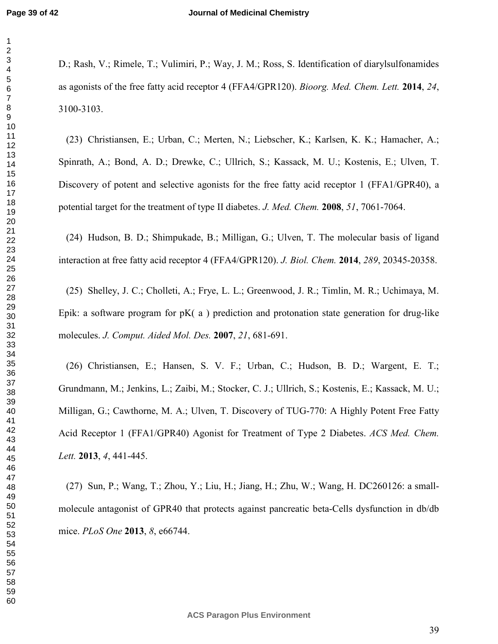D.; Rash, V.; Rimele, T.; Vulimiri, P.; Way, J. M.; Ross, S. Identification of diarylsulfonamides as agonists of the free fatty acid receptor 4 (FFA4/GPR120). *Bioorg. Med. Chem. Lett.* **2014**, *24*, 3100-3103.

(23) Christiansen, E.; Urban, C.; Merten, N.; Liebscher, K.; Karlsen, K. K.; Hamacher, A.; Spinrath, A.; Bond, A. D.; Drewke, C.; Ullrich, S.; Kassack, M. U.; Kostenis, E.; Ulven, T. Discovery of potent and selective agonists for the free fatty acid receptor 1 (FFA1/GPR40), a potential target for the treatment of type II diabetes. *J. Med. Chem.* **2008**, *51*, 7061-7064.

(24) Hudson, B. D.; Shimpukade, B.; Milligan, G.; Ulven, T. The molecular basis of ligand interaction at free fatty acid receptor 4 (FFA4/GPR120). *J. Biol. Chem.* **2014**, *289*, 20345-20358.

(25) Shelley, J. C.; Cholleti, A.; Frye, L. L.; Greenwood, J. R.; Timlin, M. R.; Uchimaya, M. Epik: a software program for  $pK(a)$  prediction and protonation state generation for drug-like molecules. *J. Comput. Aided Mol. Des.* **2007**, *21*, 681-691.

(26) Christiansen, E.; Hansen, S. V. F.; Urban, C.; Hudson, B. D.; Wargent, E. T.; Grundmann, M.; Jenkins, L.; Zaibi, M.; Stocker, C. J.; Ullrich, S.; Kostenis, E.; Kassack, M. U.; Milligan, G.; Cawthorne, M. A.; Ulven, T. Discovery of TUG-770: A Highly Potent Free Fatty Acid Receptor 1 (FFA1/GPR40) Agonist for Treatment of Type 2 Diabetes. *ACS Med. Chem. Lett.* **2013**, *4*, 441-445.

(27) Sun, P.; Wang, T.; Zhou, Y.; Liu, H.; Jiang, H.; Zhu, W.; Wang, H. DC260126: a smallmolecule antagonist of GPR40 that protects against pancreatic beta-Cells dysfunction in db/db mice. *PLoS One* **2013**, *8*, e66744.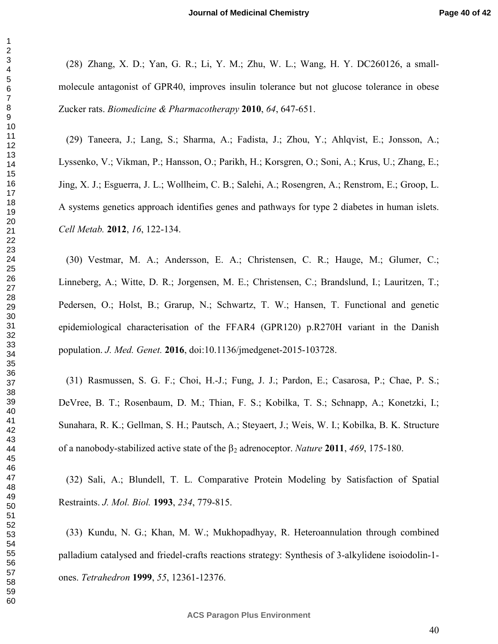(28) Zhang, X. D.; Yan, G. R.; Li, Y. M.; Zhu, W. L.; Wang, H. Y. DC260126, a smallmolecule antagonist of GPR40, improves insulin tolerance but not glucose tolerance in obese Zucker rats. *Biomedicine & Pharmacotherapy* **2010**, *64*, 647-651.

(29) Taneera, J.; Lang, S.; Sharma, A.; Fadista, J.; Zhou, Y.; Ahlqvist, E.; Jonsson, A.; Lyssenko, V.; Vikman, P.; Hansson, O.; Parikh, H.; Korsgren, O.; Soni, A.; Krus, U.; Zhang, E.; Jing, X. J.; Esguerra, J. L.; Wollheim, C. B.; Salehi, A.; Rosengren, A.; Renstrom, E.; Groop, L. A systems genetics approach identifies genes and pathways for type 2 diabetes in human islets. *Cell Metab.* **2012**, *16*, 122-134.

(30) Vestmar, M. A.; Andersson, E. A.; Christensen, C. R.; Hauge, M.; Glumer, C.; Linneberg, A.; Witte, D. R.; Jorgensen, M. E.; Christensen, C.; Brandslund, I.; Lauritzen, T.; Pedersen, O.; Holst, B.; Grarup, N.; Schwartz, T. W.; Hansen, T. Functional and genetic epidemiological characterisation of the FFAR4 (GPR120) p.R270H variant in the Danish population. *J. Med. Genet.* **2016**, doi:10.1136/jmedgenet-2015-103728.

(31) Rasmussen, S. G. F.; Choi, H.-J.; Fung, J. J.; Pardon, E.; Casarosa, P.; Chae, P. S.; DeVree, B. T.; Rosenbaum, D. M.; Thian, F. S.; Kobilka, T. S.; Schnapp, A.; Konetzki, I.; Sunahara, R. K.; Gellman, S. H.; Pautsch, A.; Steyaert, J.; Weis, W. I.; Kobilka, B. K. Structure of a nanobody-stabilized active state of the β2 adrenoceptor. *Nature* **2011**, *469*, 175-180.

(32) Sali, A.; Blundell, T. L. Comparative Protein Modeling by Satisfaction of Spatial Restraints. *J. Mol. Biol.* **1993**, *234*, 779-815.

(33) Kundu, N. G.; Khan, M. W.; Mukhopadhyay, R. Heteroannulation through combined palladium catalysed and friedel-crafts reactions strategy: Synthesis of 3-alkylidene isoiodolin-1 ones. *Tetrahedron* **1999**, *55*, 12361-12376.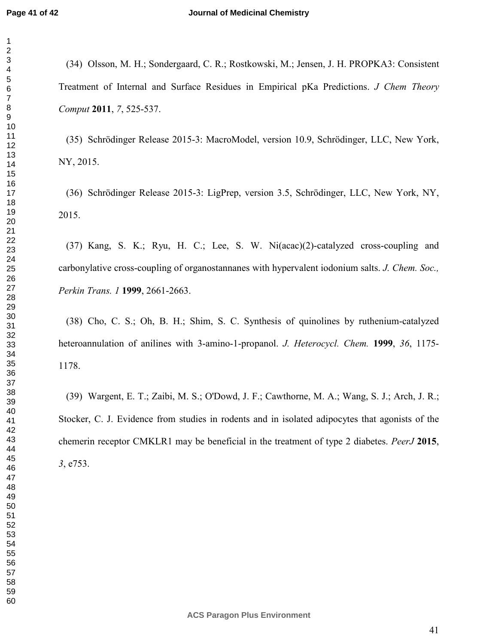(34) Olsson, M. H.; Sondergaard, C. R.; Rostkowski, M.; Jensen, J. H. PROPKA3: Consistent Treatment of Internal and Surface Residues in Empirical pKa Predictions. *J Chem Theory Comput* **2011**, *7*, 525-537.

(35) Schrödinger Release 2015-3: MacroModel, version 10.9, Schrödinger, LLC, New York, NY, 2015.

(36) Schrödinger Release 2015-3: LigPrep, version 3.5, Schrödinger, LLC, New York, NY, 2015.

(37) Kang, S. K.; Ryu, H. C.; Lee, S. W. Ni(acac)(2)-catalyzed cross-coupling and carbonylative cross-coupling of organostannanes with hypervalent iodonium salts. *J. Chem. Soc., Perkin Trans. 1* **1999**, 2661-2663.

(38) Cho, C. S.; Oh, B. H.; Shim, S. C. Synthesis of quinolines by ruthenium-catalyzed heteroannulation of anilines with 3-amino-1-propanol. *J. Heterocycl. Chem.* **1999**, *36*, 1175- 1178.

(39) Wargent, E. T.; Zaibi, M. S.; O'Dowd, J. F.; Cawthorne, M. A.; Wang, S. J.; Arch, J. R.; Stocker, C. J. Evidence from studies in rodents and in isolated adipocytes that agonists of the chemerin receptor CMKLR1 may be beneficial in the treatment of type 2 diabetes. *PeerJ* **2015**, , e753.